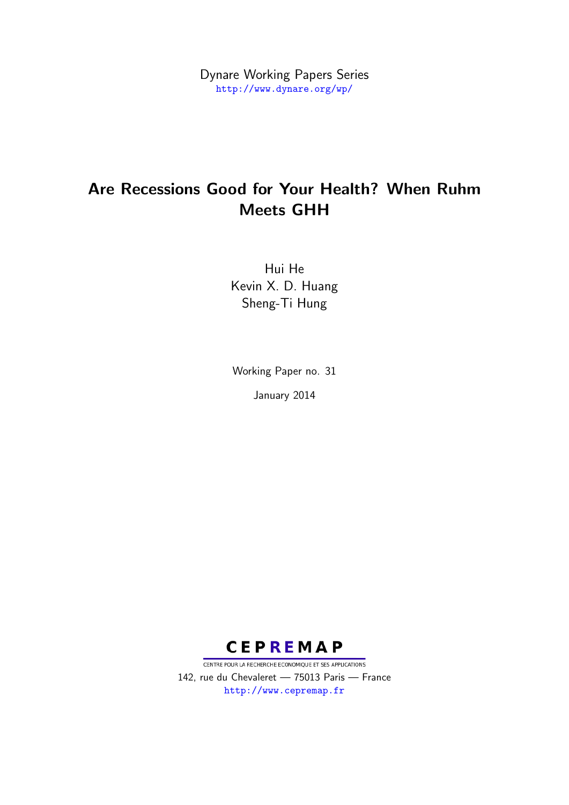Dynare Working Papers Series <http://www.dynare.org/wp/>

## Are Recessions Good for Your Health? When Ruhm Meets GHH

Hui He Kevin X. D. Huang Sheng-Ti Hung

Working Paper no. 31 January 2014



CENTRE POUR LA RECHERCHE ECONOMIQUE ET SES APPLICATIONS 142, rue du Chevaleret — 75013 Paris — France <http://www.cepremap.fr>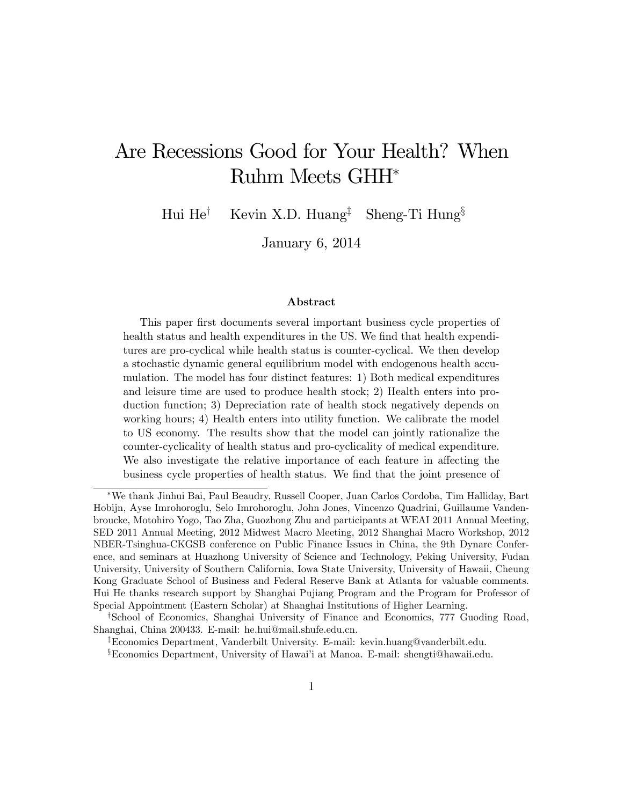# Are Recessions Good for Your Health? When Ruhm Meets GHH

Hui He<sup>†</sup> Kevin X.D. Huang<sup>‡</sup> Sheng-Ti Hung<sup>§</sup>

January 6, 2014

#### Abstract

This paper first documents several important business cycle properties of health status and health expenditures in the US. We find that health expenditures are pro-cyclical while health status is counter-cyclical. We then develop a stochastic dynamic general equilibrium model with endogenous health accumulation. The model has four distinct features: 1) Both medical expenditures and leisure time are used to produce health stock; 2) Health enters into production function; 3) Depreciation rate of health stock negatively depends on working hours; 4) Health enters into utility function. We calibrate the model to US economy. The results show that the model can jointly rationalize the counter-cyclicality of health status and pro-cyclicality of medical expenditure. We also investigate the relative importance of each feature in affecting the business cycle properties of health status. We find that the joint presence of

We thank Jinhui Bai, Paul Beaudry, Russell Cooper, Juan Carlos Cordoba, Tim Halliday, Bart Hobijn, Ayse Imrohoroglu, Selo Imrohoroglu, John Jones, Vincenzo Quadrini, Guillaume Vandenbroucke, Motohiro Yogo, Tao Zha, Guozhong Zhu and participants at WEAI 2011 Annual Meeting, SED 2011 Annual Meeting, 2012 Midwest Macro Meeting, 2012 Shanghai Macro Workshop, 2012 NBER-Tsinghua-CKGSB conference on Public Finance Issues in China, the 9th Dynare Conference, and seminars at Huazhong University of Science and Technology, Peking University, Fudan University, University of Southern California, Iowa State University, University of Hawaii, Cheung Kong Graduate School of Business and Federal Reserve Bank at Atlanta for valuable comments. Hui He thanks research support by Shanghai Pujiang Program and the Program for Professor of Special Appointment (Eastern Scholar) at Shanghai Institutions of Higher Learning.

<sup>&</sup>lt;sup>†</sup>School of Economics, Shanghai University of Finance and Economics, 777 Guoding Road, Shanghai, China 200433. E-mail: he.hui@mail.shufe.edu.cn.

<sup>&</sup>lt;sup>‡</sup>Economics Department, Vanderbilt University. E-mail: kevin.huang@vanderbilt.edu.  $\S$ Economics Department, University of Hawai'i at Manoa. E-mail: shengti@hawaii.edu.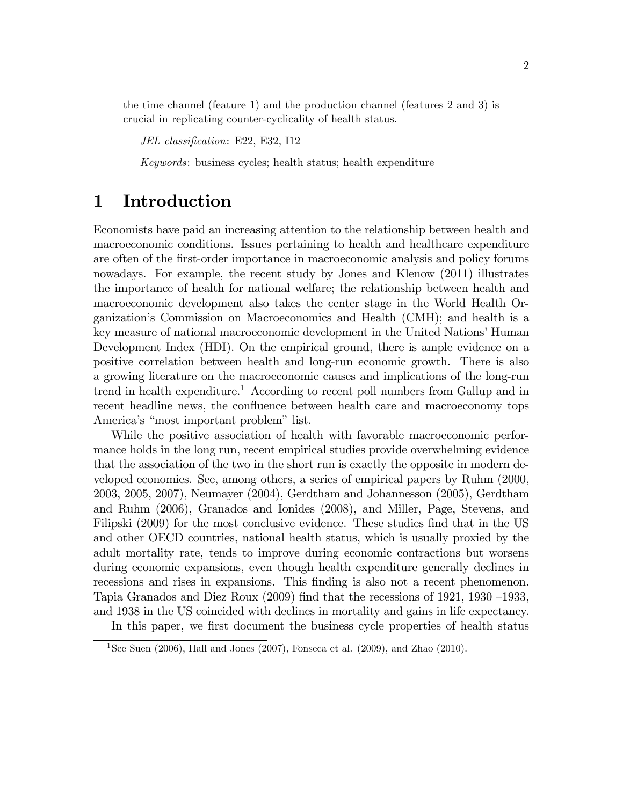the time channel (feature 1) and the production channel (features 2 and 3) is crucial in replicating counter-cyclicality of health status.

JEL classification: E22, E32, I12

Keywords: business cycles; health status; health expenditure

## 1 Introduction

Economists have paid an increasing attention to the relationship between health and macroeconomic conditions. Issues pertaining to health and healthcare expenditure are often of the first-order importance in macroeconomic analysis and policy forums nowadays. For example, the recent study by Jones and Klenow (2011) illustrates the importance of health for national welfare; the relationship between health and macroeconomic development also takes the center stage in the World Health Organization's Commission on Macroeconomics and Health (CMH); and health is a key measure of national macroeconomic development in the United Nations' Human Development Index (HDI). On the empirical ground, there is ample evidence on a positive correlation between health and long-run economic growth. There is also a growing literature on the macroeconomic causes and implications of the long-run trend in health expenditure.<sup>1</sup> According to recent poll numbers from Gallup and in recent headline news, the confluence between health care and macroeconomy tops America's "most important problem" list.

While the positive association of health with favorable macroeconomic performance holds in the long run, recent empirical studies provide overwhelming evidence that the association of the two in the short run is exactly the opposite in modern developed economies. See, among others, a series of empirical papers by Ruhm (2000, 2003, 2005, 2007), Neumayer (2004), Gerdtham and Johannesson (2005), Gerdtham and Ruhm (2006), Granados and Ionides (2008), and Miller, Page, Stevens, and Filipski (2009) for the most conclusive evidence. These studies find that in the US and other OECD countries, national health status, which is usually proxied by the adult mortality rate, tends to improve during economic contractions but worsens during economic expansions, even though health expenditure generally declines in recessions and rises in expansions. This finding is also not a recent phenomenon. Tapia Granados and Diez Roux  $(2009)$  find that the recessions of 1921, 1930 -1933, and 1938 in the US coincided with declines in mortality and gains in life expectancy.

In this paper, we first document the business cycle properties of health status

<sup>&</sup>lt;sup>1</sup>See Suen (2006), Hall and Jones (2007), Fonseca et al. (2009), and Zhao (2010).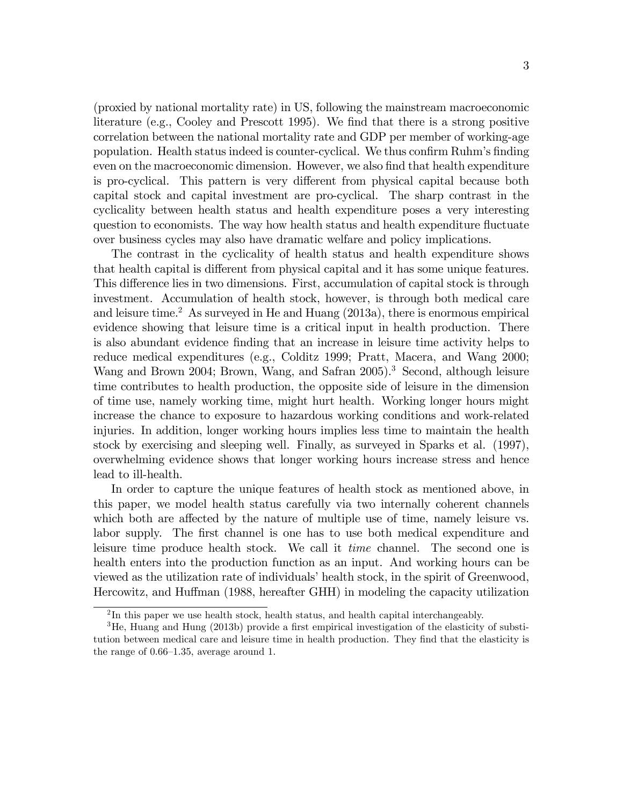(proxied by national mortality rate) in US, following the mainstream macroeconomic literature (e.g., Cooley and Prescott 1995). We find that there is a strong positive correlation between the national mortality rate and GDP per member of working-age population. Health status indeed is counter-cyclical. We thus confirm Ruhm's finding even on the macroeconomic dimension. However, we also find that health expenditure is pro-cyclical. This pattern is very different from physical capital because both capital stock and capital investment are pro-cyclical. The sharp contrast in the cyclicality between health status and health expenditure poses a very interesting question to economists. The way how health status and health expenditure fluctuate over business cycles may also have dramatic welfare and policy implications.

The contrast in the cyclicality of health status and health expenditure shows that health capital is different from physical capital and it has some unique features. This difference lies in two dimensions. First, accumulation of capital stock is through investment. Accumulation of health stock, however, is through both medical care and leisure time.<sup>2</sup> As surveyed in He and Huang  $(2013a)$ , there is enormous empirical evidence showing that leisure time is a critical input in health production. There is also abundant evidence Önding that an increase in leisure time activity helps to reduce medical expenditures (e.g., Colditz 1999; Pratt, Macera, and Wang 2000; Wang and Brown 2004; Brown, Wang, and Safran 2005).<sup>3</sup> Second, although leisure time contributes to health production, the opposite side of leisure in the dimension of time use, namely working time, might hurt health. Working longer hours might increase the chance to exposure to hazardous working conditions and work-related injuries. In addition, longer working hours implies less time to maintain the health stock by exercising and sleeping well. Finally, as surveyed in Sparks et al. (1997), overwhelming evidence shows that longer working hours increase stress and hence lead to ill-health.

In order to capture the unique features of health stock as mentioned above, in this paper, we model health status carefully via two internally coherent channels which both are affected by the nature of multiple use of time, namely leisure vs. labor supply. The first channel is one has to use both medical expenditure and leisure time produce health stock. We call it time channel. The second one is health enters into the production function as an input. And working hours can be viewed as the utilization rate of individuals' health stock, in the spirit of Greenwood, Hercowitz, and Huffman (1988, hereafter GHH) in modeling the capacity utilization

<sup>&</sup>lt;sup>2</sup>In this paper we use health stock, health status, and health capital interchangeably.

 $3\text{He}$ , Huang and Hung (2013b) provide a first empirical investigation of the elasticity of substitution between medical care and leisure time in health production. They find that the elasticity is the range of  $0.66-1.35$ , average around 1.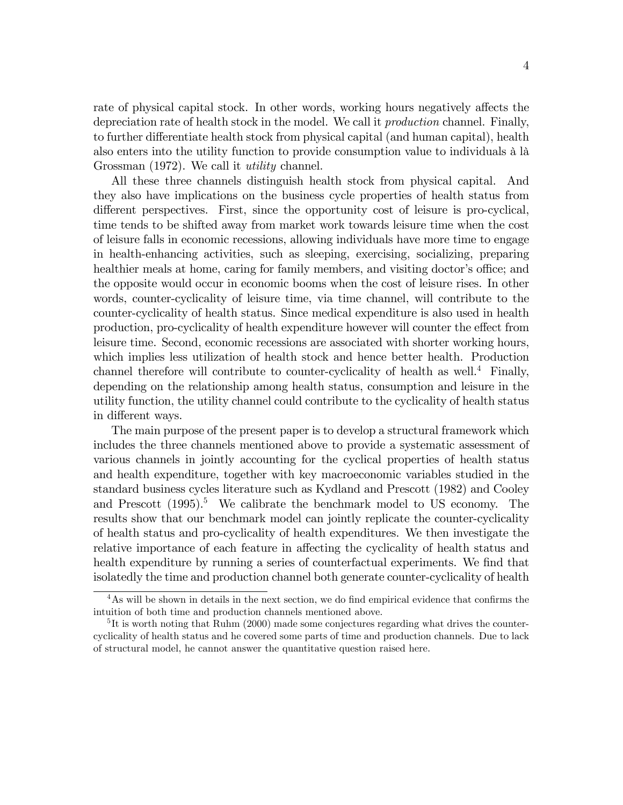rate of physical capital stock. In other words, working hours negatively affects the depreciation rate of health stock in the model. We call it production channel. Finally, to further differentiate health stock from physical capital (and human capital), health also enters into the utility function to provide consumption value to individuals à là Grossman (1972). We call it *utility* channel.

All these three channels distinguish health stock from physical capital. And they also have implications on the business cycle properties of health status from different perspectives. First, since the opportunity cost of leisure is pro-cyclical, time tends to be shifted away from market work towards leisure time when the cost of leisure falls in economic recessions, allowing individuals have more time to engage in health-enhancing activities, such as sleeping, exercising, socializing, preparing healthier meals at home, caring for family members, and visiting doctor's office; and the opposite would occur in economic booms when the cost of leisure rises. In other words, counter-cyclicality of leisure time, via time channel, will contribute to the counter-cyclicality of health status. Since medical expenditure is also used in health production, pro-cyclicality of health expenditure however will counter the effect from leisure time. Second, economic recessions are associated with shorter working hours, which implies less utilization of health stock and hence better health. Production channel therefore will contribute to counter-cyclicality of health as well.<sup>4</sup> Finally, depending on the relationship among health status, consumption and leisure in the utility function, the utility channel could contribute to the cyclicality of health status in different ways.

The main purpose of the present paper is to develop a structural framework which includes the three channels mentioned above to provide a systematic assessment of various channels in jointly accounting for the cyclical properties of health status and health expenditure, together with key macroeconomic variables studied in the standard business cycles literature such as Kydland and Prescott (1982) and Cooley and Prescott  $(1995).<sup>5</sup>$  We calibrate the benchmark model to US economy. The results show that our benchmark model can jointly replicate the counter-cyclicality of health status and pro-cyclicality of health expenditures. We then investigate the relative importance of each feature in affecting the cyclicality of health status and health expenditure by running a series of counterfactual experiments. We find that isolatedly the time and production channel both generate counter-cyclicality of health

 $4$ As will be shown in details in the next section, we do find empirical evidence that confirms the intuition of both time and production channels mentioned above.

<sup>&</sup>lt;sup>5</sup>It is worth noting that Ruhm (2000) made some conjectures regarding what drives the countercyclicality of health status and he covered some parts of time and production channels. Due to lack of structural model, he cannot answer the quantitative question raised here.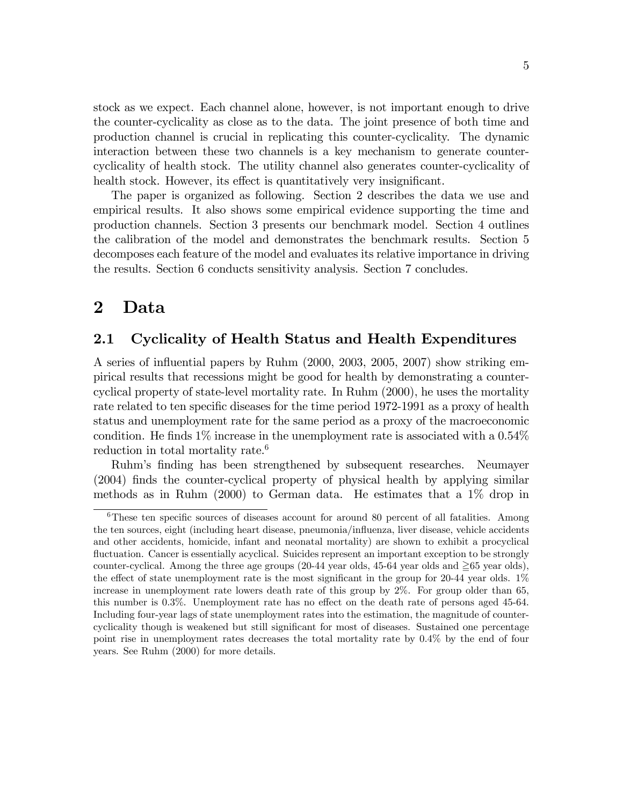stock as we expect. Each channel alone, however, is not important enough to drive the counter-cyclicality as close as to the data. The joint presence of both time and production channel is crucial in replicating this counter-cyclicality. The dynamic interaction between these two channels is a key mechanism to generate countercyclicality of health stock. The utility channel also generates counter-cyclicality of health stock. However, its effect is quantitatively very insignificant.

The paper is organized as following. Section 2 describes the data we use and empirical results. It also shows some empirical evidence supporting the time and production channels. Section 3 presents our benchmark model. Section 4 outlines the calibration of the model and demonstrates the benchmark results. Section 5 decomposes each feature of the model and evaluates its relative importance in driving the results. Section 6 conducts sensitivity analysis. Section 7 concludes.

## 2 Data

#### 2.1 Cyclicality of Health Status and Health Expenditures

A series of ináuential papers by Ruhm (2000, 2003, 2005, 2007) show striking empirical results that recessions might be good for health by demonstrating a countercyclical property of state-level mortality rate. In Ruhm (2000), he uses the mortality rate related to ten specific diseases for the time period 1972-1991 as a proxy of health status and unemployment rate for the same period as a proxy of the macroeconomic condition. He finds  $1\%$  increase in the unemployment rate is associated with a  $0.54\%$ reduction in total mortality rate.<sup>6</sup>

Ruhmís Önding has been strengthened by subsequent researches. Neumayer (2004) finds the counter-cyclical property of physical health by applying similar methods as in Ruhm (2000) to German data. He estimates that a 1% drop in

 $6$ These ten specific sources of diseases account for around 80 percent of all fatalities. Among the ten sources, eight (including heart disease, pneumonia/influenza, liver disease, vehicle accidents and other accidents, homicide, infant and neonatal mortality) are shown to exhibit a procyclical fluctuation. Cancer is essentially acyclical. Suicides represent an important exception to be strongly counter-cyclical. Among the three age groups (20-44 year olds,  $45-64$  year olds and  $\geq 65$  year olds), the effect of state unemployment rate is the most significant in the group for 20-44 year olds.  $1\%$ increase in unemployment rate lowers death rate of this group by 2%. For group older than 65, this number is 0.3%. Unemployment rate has no effect on the death rate of persons aged 45-64. Including four-year lags of state unemployment rates into the estimation, the magnitude of countercyclicality though is weakened but still significant for most of diseases. Sustained one percentage point rise in unemployment rates decreases the total mortality rate by 0.4% by the end of four years. See Ruhm (2000) for more details.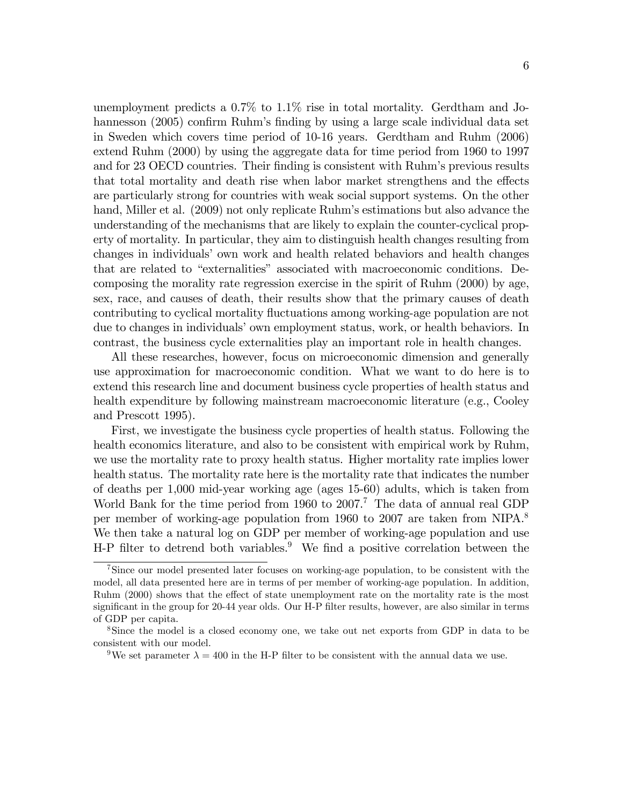unemployment predicts a 0.7% to 1.1% rise in total mortality. Gerdtham and Johannesson (2005) confirm Ruhm's finding by using a large scale individual data set in Sweden which covers time period of 10-16 years. Gerdtham and Ruhm (2006) extend Ruhm (2000) by using the aggregate data for time period from 1960 to 1997 and for 23 OECD countries. Their finding is consistent with Ruhm's previous results that total mortality and death rise when labor market strengthens and the effects are particularly strong for countries with weak social support systems. On the other hand, Miller et al. (2009) not only replicate Ruhm's estimations but also advance the understanding of the mechanisms that are likely to explain the counter-cyclical property of mortality. In particular, they aim to distinguish health changes resulting from changes in individualsí own work and health related behaviors and health changes that are related to "externalities" associated with macroeconomic conditions. Decomposing the morality rate regression exercise in the spirit of Ruhm (2000) by age, sex, race, and causes of death, their results show that the primary causes of death contributing to cyclical mortality fluctuations among working-age population are not due to changes in individuals' own employment status, work, or health behaviors. In contrast, the business cycle externalities play an important role in health changes.

All these researches, however, focus on microeconomic dimension and generally use approximation for macroeconomic condition. What we want to do here is to extend this research line and document business cycle properties of health status and health expenditure by following mainstream macroeconomic literature (e.g., Cooley and Prescott 1995).

First, we investigate the business cycle properties of health status. Following the health economics literature, and also to be consistent with empirical work by Ruhm, we use the mortality rate to proxy health status. Higher mortality rate implies lower health status. The mortality rate here is the mortality rate that indicates the number of deaths per 1,000 mid-year working age (ages 15-60) adults, which is taken from World Bank for the time period from 1960 to  $2007$ .<sup>7</sup> The data of annual real GDP per member of working-age population from 1960 to 2007 are taken from NIPA.<sup>8</sup> We then take a natural log on GDP per member of working-age population and use H-P filter to detrend both variables.<sup>9</sup> We find a positive correlation between the

<sup>7</sup>Since our model presented later focuses on working-age population, to be consistent with the model, all data presented here are in terms of per member of working-age population. In addition, Ruhm (2000) shows that the effect of state unemployment rate on the mortality rate is the most significant in the group for 20-44 year olds. Our H-P filter results, however, are also similar in terms of GDP per capita.

<sup>8</sup>Since the model is a closed economy one, we take out net exports from GDP in data to be consistent with our model.

<sup>&</sup>lt;sup>9</sup>We set parameter  $\lambda = 400$  in the H-P filter to be consistent with the annual data we use.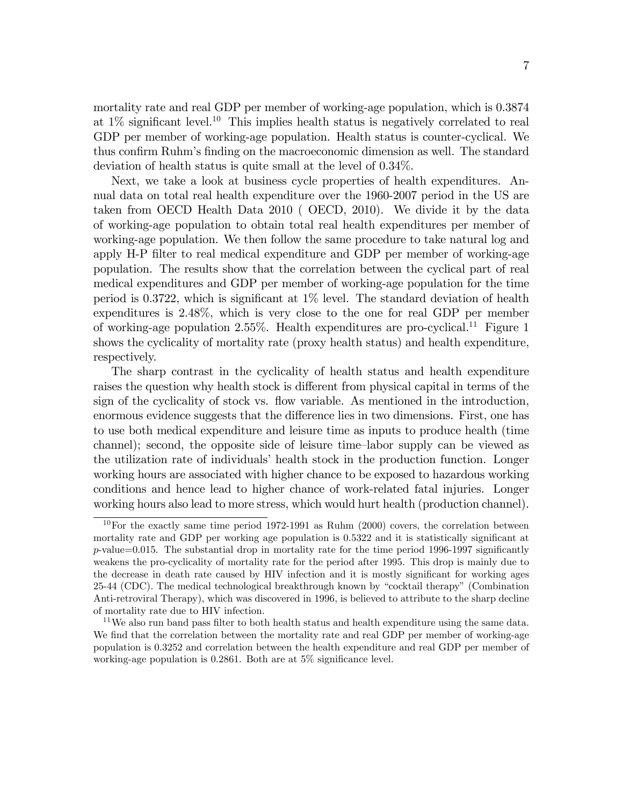7

mortality rate and real GDP per member of working-age population, which is 0.3874 at  $1\%$  significant level.<sup>10</sup> This implies health status is negatively correlated to real GDP per member of working-age population. Health status is counter-cyclical. We thus confirm Ruhm's finding on the macroeconomic dimension as well. The standard deviation of health status is quite small at the level of 0.34%.

Next, we take a look at business cycle properties of health expenditures. Annual data on total real health expenditure over the 1960-2007 period in the US are taken from OECD Health Data 2010 ( OECD, 2010). We divide it by the data of working-age population to obtain total real health expenditures per member of working-age population. We then follow the same procedure to take natural log and apply H-P filter to real medical expenditure and GDP per member of working-age population. The results show that the correlation between the cyclical part of real medical expenditures and GDP per member of working-age population for the time period is 0.3722, which is significant at  $1\%$  level. The standard deviation of health expenditures is 2.48%, which is very close to the one for real GDP per member of working-age population  $2.55\%$ . Health expenditures are pro-cyclical.<sup>11</sup> Figure 1 shows the cyclicality of mortality rate (proxy health status) and health expenditure, respectively.

The sharp contrast in the cyclicality of health status and health expenditure raises the question why health stock is different from physical capital in terms of the sign of the cyclicality of stock vs. flow variable. As mentioned in the introduction, enormous evidence suggests that the difference lies in two dimensions. First, one has to use both medical expenditure and leisure time as inputs to produce health (time channel); second, the opposite side of leisure time-labor supply can be viewed as the utilization rate of individuals' health stock in the production function. Longer working hours are associated with higher chance to be exposed to hazardous working conditions and hence lead to higher chance of work-related fatal injuries. Longer working hours also lead to more stress, which would hurt health (production channel).

<sup>&</sup>lt;sup>10</sup>For the exactly same time period 1972-1991 as Ruhm (2000) covers, the correlation between mortality rate and GDP per working age population is 0.5322 and it is statistically significant at  $p$ -value=0.015. The substantial drop in mortality rate for the time period 1996-1997 significantly weakens the pro-cyclicality of mortality rate for the period after 1995. This drop is mainly due to the decrease in death rate caused by HIV infection and it is mostly significant for working ages 25-44 (CDC). The medical technological breakthrough known by "cocktail therapy" (Combination Anti-retroviral Therapy), which was discovered in 1996, is believed to attribute to the sharp decline of mortality rate due to HIV infection.

<sup>&</sup>lt;sup>11</sup>We also run band pass filter to both health status and health expenditure using the same data. We find that the correlation between the mortality rate and real GDP per member of working-age population is 0.3252 and correlation between the health expenditure and real GDP per member of working-age population is 0.2861. Both are at  $5\%$  significance level.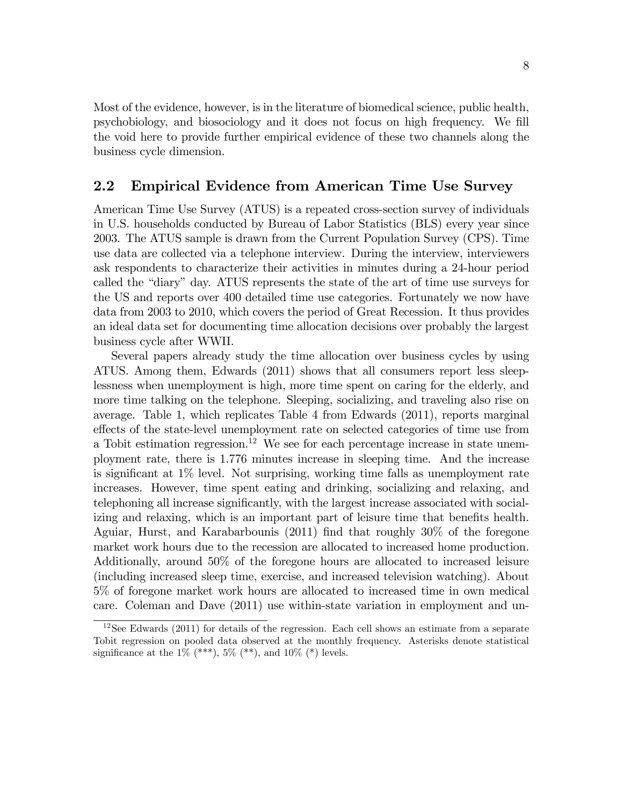Most of the evidence, however, is in the literature of biomedical science, public health, psychobiology, and biosociology and it does not focus on high frequency. We Öll the void here to provide further empirical evidence of these two channels along the business cycle dimension.

#### 2.2 Empirical Evidence from American Time Use Survey

American Time Use Survey (ATUS) is a repeated cross-section survey of individuals in U.S. households conducted by Bureau of Labor Statistics (BLS) every year since 2003. The ATUS sample is drawn from the Current Population Survey (CPS). Time use data are collected via a telephone interview. During the interview, interviewers ask respondents to characterize their activities in minutes during a 24-hour period called the "diary" day. ATUS represents the state of the art of time use surveys for the US and reports over 400 detailed time use categories. Fortunately we now have data from 2003 to 2010, which covers the period of Great Recession. It thus provides an ideal data set for documenting time allocation decisions over probably the largest business cycle after WWII.

Several papers already study the time allocation over business cycles by using ATUS. Among them, Edwards (2011) shows that all consumers report less sleeplessness when unemployment is high, more time spent on caring for the elderly, and more time talking on the telephone. Sleeping, socializing, and traveling also rise on average. Table 1, which replicates Table 4 from Edwards (2011), reports marginal effects of the state-level unemployment rate on selected categories of time use from a Tobit estimation regression.<sup>12</sup> We see for each percentage increase in state unemployment rate, there is 1.776 minutes increase in sleeping time. And the increase is significant at  $1\%$  level. Not surprising, working time falls as unemployment rate increases. However, time spent eating and drinking, socializing and relaxing, and telephoning all increase significantly, with the largest increase associated with socializing and relaxing, which is an important part of leisure time that benefits health. Aguiar, Hurst, and Karabarbounis  $(2011)$  find that roughly  $30\%$  of the foregone market work hours due to the recession are allocated to increased home production. Additionally, around 50% of the foregone hours are allocated to increased leisure (including increased sleep time, exercise, and increased television watching). About 5% of foregone market work hours are allocated to increased time in own medical care. Coleman and Dave (2011) use within-state variation in employment and un-

 $12$ See Edwards (2011) for details of the regression. Each cell shows an estimate from a separate Tobit regression on pooled data observed at the monthly frequency. Asterisks denote statistical significance at the  $1\%$  (\*\*\*),  $5\%$  (\*\*), and  $10\%$  (\*) levels.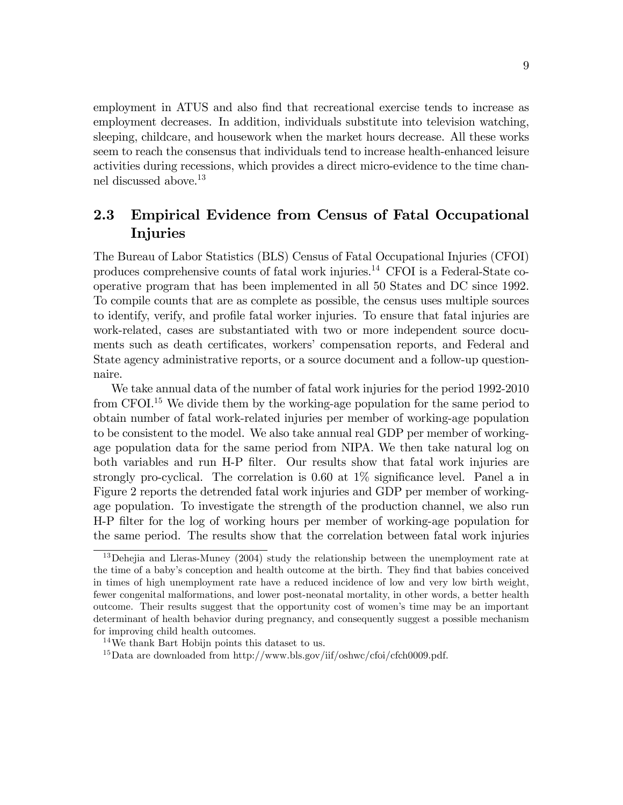employment in ATUS and also find that recreational exercise tends to increase as employment decreases. In addition, individuals substitute into television watching, sleeping, childcare, and housework when the market hours decrease. All these works seem to reach the consensus that individuals tend to increase health-enhanced leisure activities during recessions, which provides a direct micro-evidence to the time channel discussed above.<sup>13</sup>

### 2.3 Empirical Evidence from Census of Fatal Occupational Injuries

The Bureau of Labor Statistics (BLS) Census of Fatal Occupational Injuries (CFOI) produces comprehensive counts of fatal work injuries.<sup>14</sup> CFOI is a Federal-State cooperative program that has been implemented in all 50 States and DC since 1992. To compile counts that are as complete as possible, the census uses multiple sources to identify, verify, and profile fatal worker injuries. To ensure that fatal injuries are work-related, cases are substantiated with two or more independent source documents such as death certificates, workers' compensation reports, and Federal and State agency administrative reports, or a source document and a follow-up questionnaire.

We take annual data of the number of fatal work injuries for the period 1992-2010 from CFOI.<sup>15</sup> We divide them by the working-age population for the same period to obtain number of fatal work-related injuries per member of working-age population to be consistent to the model. We also take annual real GDP per member of workingage population data for the same period from NIPA. We then take natural log on both variables and run H-P filter. Our results show that fatal work injuries are strongly pro-cyclical. The correlation is  $0.60$  at  $1\%$  significance level. Panel a in Figure 2 reports the detrended fatal work injuries and GDP per member of workingage population. To investigate the strength of the production channel, we also run H-P Ölter for the log of working hours per member of working-age population for the same period. The results show that the correlation between fatal work injuries

 $13$ Dehejia and Lleras-Muney (2004) study the relationship between the unemployment rate at the time of a baby's conception and health outcome at the birth. They find that babies conceived in times of high unemployment rate have a reduced incidence of low and very low birth weight, fewer congenital malformations, and lower post-neonatal mortality, in other words, a better health outcome. Their results suggest that the opportunity cost of womenís time may be an important determinant of health behavior during pregnancy, and consequently suggest a possible mechanism for improving child health outcomes.

<sup>14</sup>We thank Bart Hobijn points this dataset to us.

<sup>&</sup>lt;sup>15</sup>Data are downloaded from http://www.bls.gov/iif/oshwc/cfoi/cfch0009.pdf.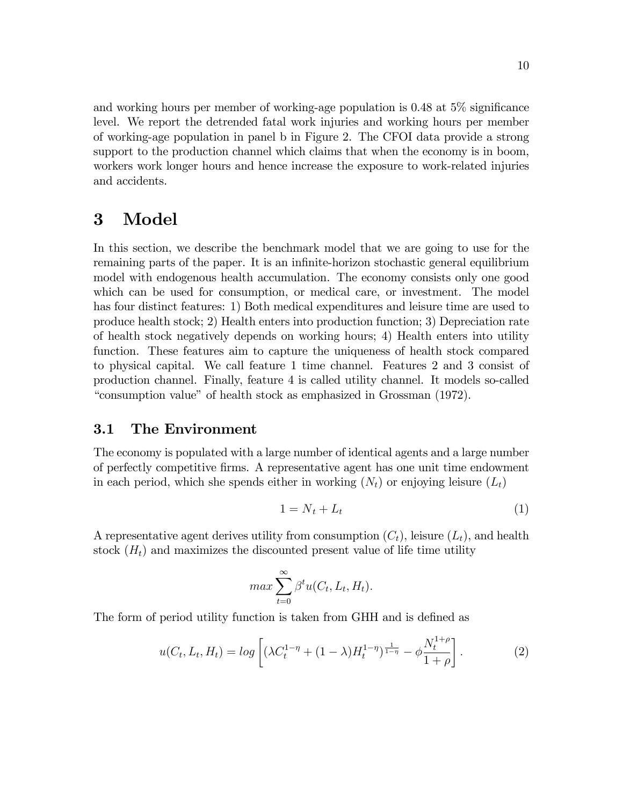and working hours per member of working-age population is  $0.48$  at  $5\%$  significance level. We report the detrended fatal work injuries and working hours per member of working-age population in panel b in Figure 2. The CFOI data provide a strong support to the production channel which claims that when the economy is in boom, workers work longer hours and hence increase the exposure to work-related injuries and accidents.

## 3 Model

In this section, we describe the benchmark model that we are going to use for the remaining parts of the paper. It is an infinite-horizon stochastic general equilibrium model with endogenous health accumulation. The economy consists only one good which can be used for consumption, or medical care, or investment. The model has four distinct features: 1) Both medical expenditures and leisure time are used to produce health stock; 2) Health enters into production function; 3) Depreciation rate of health stock negatively depends on working hours; 4) Health enters into utility function. These features aim to capture the uniqueness of health stock compared to physical capital. We call feature 1 time channel. Features 2 and 3 consist of production channel. Finally, feature 4 is called utility channel. It models so-called "consumption value" of health stock as emphasized in Grossman  $(1972)$ .

#### 3.1 The Environment

The economy is populated with a large number of identical agents and a large number of perfectly competitive Örms. A representative agent has one unit time endowment in each period, which she spends either in working  $(N_t)$  or enjoying leisure  $(L_t)$ 

$$
1 = N_t + L_t \tag{1}
$$

A representative agent derives utility from consumption  $(C_t)$ , leisure  $(L_t)$ , and health stock  $(H_t)$  and maximizes the discounted present value of life time utility

$$
max \sum_{t=0}^{\infty} \beta^t u(C_t, L_t, H_t).
$$

The form of period utility function is taken from GHH and is defined as

$$
u(C_t, L_t, H_t) = \log \left[ (\lambda C_t^{1-\eta} + (1-\lambda)H_t^{1-\eta})^{\frac{1}{1-\eta}} - \phi \frac{N_t^{1+\rho}}{1+\rho} \right].
$$
 (2)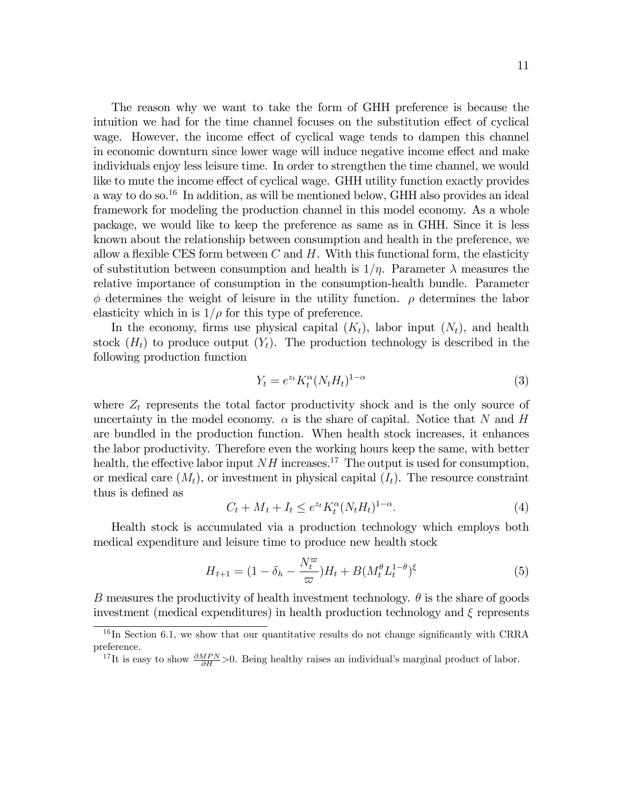The reason why we want to take the form of GHH preference is because the intuition we had for the time channel focuses on the substitution effect of cyclical wage. However, the income effect of cyclical wage tends to dampen this channel in economic downturn since lower wage will induce negative income effect and make individuals enjoy less leisure time. In order to strengthen the time channel, we would like to mute the income effect of cyclical wage. GHH utility function exactly provides a way to do so.<sup>16</sup> In addition, as will be mentioned below, GHH also provides an ideal framework for modeling the production channel in this model economy. As a whole package, we would like to keep the preference as same as in GHH. Since it is less known about the relationship between consumption and health in the preference, we allow a flexible CES form between  $C$  and  $H$ . With this functional form, the elasticity of substitution between consumption and health is  $1/\eta$ . Parameter  $\lambda$  measures the relative importance of consumption in the consumption-health bundle. Parameter  $\phi$  determines the weight of leisure in the utility function.  $\rho$  determines the labor elasticity which in is  $1/\rho$  for this type of preference.

In the economy, firms use physical capital  $(K_t)$ , labor input  $(N_t)$ , and health stock  $(H_t)$  to produce output  $(Y_t)$ . The production technology is described in the following production function

$$
Y_t = e^{z_t} K_t^{\alpha} (N_t H_t)^{1-\alpha}
$$
\n<sup>(3)</sup>

where  $Z_t$  represents the total factor productivity shock and is the only source of uncertainty in the model economy.  $\alpha$  is the share of capital. Notice that N and H are bundled in the production function. When health stock increases, it enhances the labor productivity. Therefore even the working hours keep the same, with better health, the effective labor input  $NH$  increases.<sup>17</sup> The output is used for consumption, or medical care  $(M_t)$ , or investment in physical capital  $(I_t)$ . The resource constraint thus is defined as

$$
C_t + M_t + I_t \le e^{z_t} K_t^{\alpha} (N_t H_t)^{1-\alpha}.
$$
\n(4)

Health stock is accumulated via a production technology which employs both medical expenditure and leisure time to produce new health stock

$$
H_{t+1} = (1 - \delta_h - \frac{N_t^{\varpi}}{\varpi})H_t + B(M_t^{\theta} L_t^{1-\theta})^{\xi}
$$
 (5)

B measures the productivity of health investment technology.  $\theta$  is the share of goods investment (medical expenditures) in health production technology and  $\xi$  represents

 $16$  In Section 6.1, we show that our quantitative results do not change significantly with CRRA preference.

<sup>&</sup>lt;sup>17</sup>It is easy to show  $\frac{\partial MPN}{\partial H} > 0$ . Being healthy raises an individual's marginal product of labor.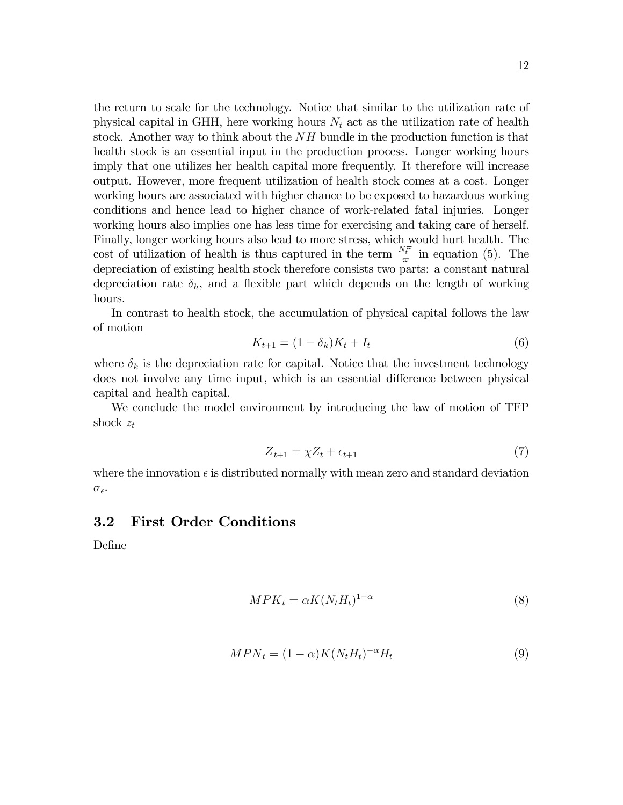the return to scale for the technology. Notice that similar to the utilization rate of physical capital in GHH, here working hours  $N_t$  act as the utilization rate of health stock. Another way to think about the  $NH$  bundle in the production function is that health stock is an essential input in the production process. Longer working hours imply that one utilizes her health capital more frequently. It therefore will increase output. However, more frequent utilization of health stock comes at a cost. Longer working hours are associated with higher chance to be exposed to hazardous working conditions and hence lead to higher chance of work-related fatal injuries. Longer working hours also implies one has less time for exercising and taking care of herself. Finally, longer working hours also lead to more stress, which would hurt health. The cost of utilization of health is thus captured in the term  $\frac{N_t^{\omega}}{\varpi}$  in equation (5). The depreciation of existing health stock therefore consists two parts: a constant natural depreciation rate  $\delta_h$ , and a flexible part which depends on the length of working hours.

In contrast to health stock, the accumulation of physical capital follows the law of motion

$$
K_{t+1} = (1 - \delta_k)K_t + I_t
$$
\n(6)

where  $\delta_k$  is the depreciation rate for capital. Notice that the investment technology does not involve any time input, which is an essential difference between physical capital and health capital.

We conclude the model environment by introducing the law of motion of TFP shock  $z_t$ 

$$
Z_{t+1} = \chi Z_t + \epsilon_{t+1} \tag{7}
$$

where the innovation  $\epsilon$  is distributed normally with mean zero and standard deviation  $\sigma_{\epsilon}$ .

#### 3.2 First Order Conditions

DeÖne

$$
MPK_t = \alpha K (N_t H_t)^{1-\alpha}
$$
\n(8)

$$
MPN_t = (1 - \alpha)K(N_t H_t)^{-\alpha}H_t
$$
\n(9)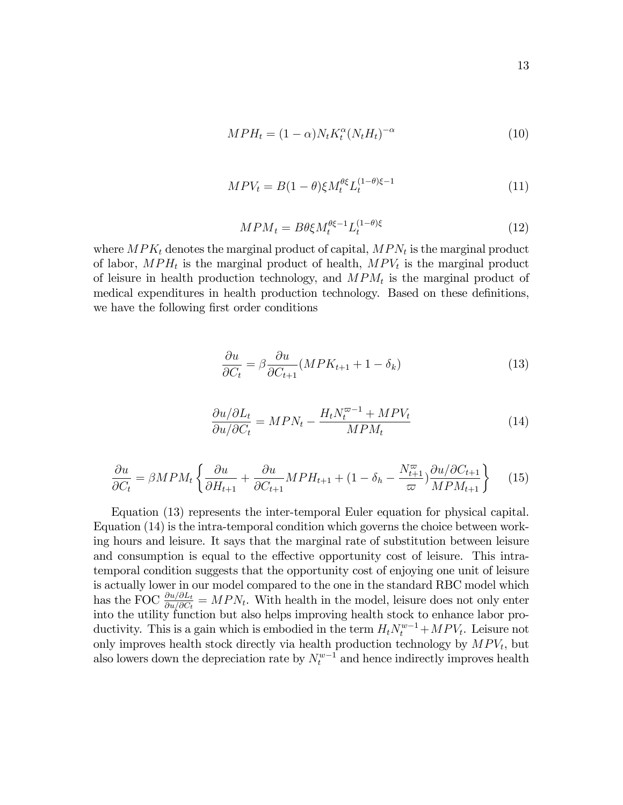$$
MPH_t = (1 - \alpha)N_t K_t^{\alpha} (N_t H_t)^{-\alpha}
$$
\n(10)

$$
MPV_t = B(1 - \theta)\xi M_t^{\theta\xi} L_t^{(1 - \theta)\xi - 1}
$$
\n<sup>(11)</sup>

$$
MPM_t = B\theta \xi M_t^{\theta \xi - 1} L_t^{(1-\theta)\xi}
$$
\n<sup>(12)</sup>

where  $MPK_t$  denotes the marginal product of capital,  $MPN_t$  is the marginal product of labor,  $MPH_t$  is the marginal product of health,  $MPV_t$  is the marginal product of leisure in health production technology, and  $MPM_t$  is the marginal product of medical expenditures in health production technology. Based on these definitions, we have the following first order conditions

$$
\frac{\partial u}{\partial C_t} = \beta \frac{\partial u}{\partial C_{t+1}} (MPK_{t+1} + 1 - \delta_k)
$$
\n(13)

$$
\frac{\partial u/\partial L_t}{\partial u/\partial C_t} = MPN_t - \frac{H_t N_t^{\varpi - 1} + MPV_t}{MPM_t}
$$
\n(14)

$$
\frac{\partial u}{\partial C_t} = \beta MPM_t \left\{ \frac{\partial u}{\partial H_{t+1}} + \frac{\partial u}{\partial C_{t+1}} MPH_{t+1} + (1 - \delta_h - \frac{N_{t+1}^{\varpi}}{\varpi}) \frac{\partial u / \partial C_{t+1}}{MPM_{t+1}} \right\}
$$
(15)

Equation (13) represents the inter-temporal Euler equation for physical capital. Equation (14) is the intra-temporal condition which governs the choice between working hours and leisure. It says that the marginal rate of substitution between leisure and consumption is equal to the effective opportunity cost of leisure. This intratemporal condition suggests that the opportunity cost of enjoying one unit of leisure is actually lower in our model compared to the one in the standard RBC model which has the FOC  $\frac{\partial u}{\partial u/\partial C_t} = M P N_t$ . With health in the model, leisure does not only enter into the utility function but also helps improving health stock to enhance labor productivity. This is a gain which is embodied in the term  $H_t N_t^{w-1} + M P V_t$ . Leisure not only improves health stock directly via health production technology by  $MPV_t$ , but also lowers down the depreciation rate by  $N_t^{w-1}$  and hence indirectly improves health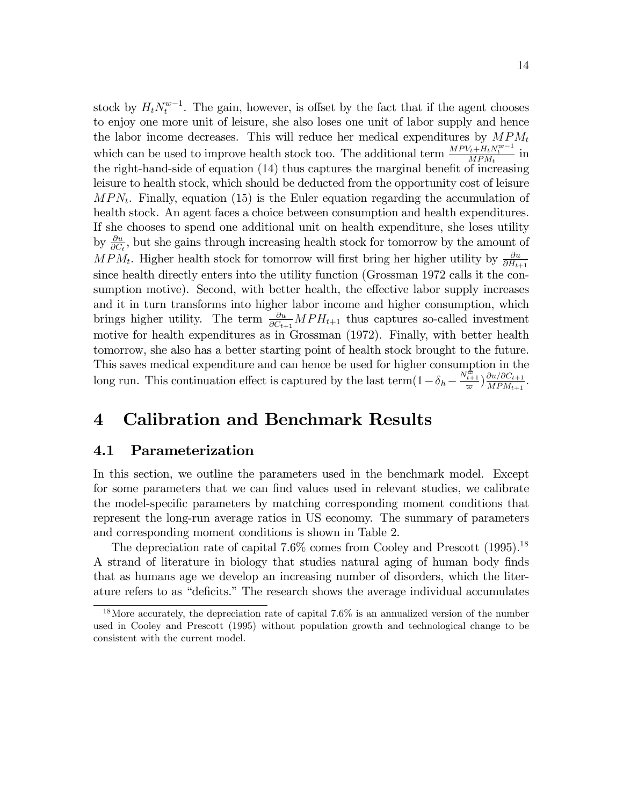stock by  $H_t N_t^{w-1}$ . The gain, however, is offset by the fact that if the agent chooses to enjoy one more unit of leisure, she also loses one unit of labor supply and hence the labor income decreases. This will reduce her medical expenditures by  $MPM_t$ which can be used to improve health stock too. The additional term  $\frac{MPV_t + H_t N_t^{\varpi-1}}{MPM_t}$  in the right-hand-side of equation  $(14)$  thus captures the marginal benefit of increasing leisure to health stock, which should be deducted from the opportunity cost of leisure  $MPN_t$ . Finally, equation (15) is the Euler equation regarding the accumulation of health stock. An agent faces a choice between consumption and health expenditures. If she chooses to spend one additional unit on health expenditure, she loses utility by  $\frac{\partial u}{\partial C_t}$ , but she gains through increasing health stock for tomorrow by the amount of  $MPM_t$ . Higher health stock for tomorrow will first bring her higher utility by  $\frac{\partial u}{\partial H_{t+1}}$ since health directly enters into the utility function (Grossman 1972 calls it the consumption motive). Second, with better health, the effective labor supply increases and it in turn transforms into higher labor income and higher consumption, which brings higher utility. The term  $\frac{\partial u}{\partial C_{t+1}} MPH_{t+1}$  thus captures so-called investment motive for health expenditures as in Grossman (1972). Finally, with better health tomorrow, she also has a better starting point of health stock brought to the future. This saves medical expenditure and can hence be used for higher consumption in the long run. This continuation effect is captured by the last term $(1-\delta_h - \frac{N_{t+1}^{\pi}}{\varpi}) \frac{\partial u/\partial C_{t+1}}{MPM_{t+1}}$  $\frac{\partial u/\partial C_{t+1}}{MPM_{t+1}}$ .

## 4 Calibration and Benchmark Results

#### 4.1 Parameterization

In this section, we outline the parameters used in the benchmark model. Except for some parameters that we can find values used in relevant studies, we calibrate the model-specific parameters by matching corresponding moment conditions that represent the long-run average ratios in US economy. The summary of parameters and corresponding moment conditions is shown in Table 2.

The depreciation rate of capital  $7.6\%$  comes from Cooley and Prescott  $(1995)^{18}$ A strand of literature in biology that studies natural aging of human body finds that as humans age we develop an increasing number of disorders, which the literature refers to as "deficits." The research shows the average individual accumulates

<sup>&</sup>lt;sup>18</sup>More accurately, the depreciation rate of capital 7.6% is an annualized version of the number used in Cooley and Prescott (1995) without population growth and technological change to be consistent with the current model.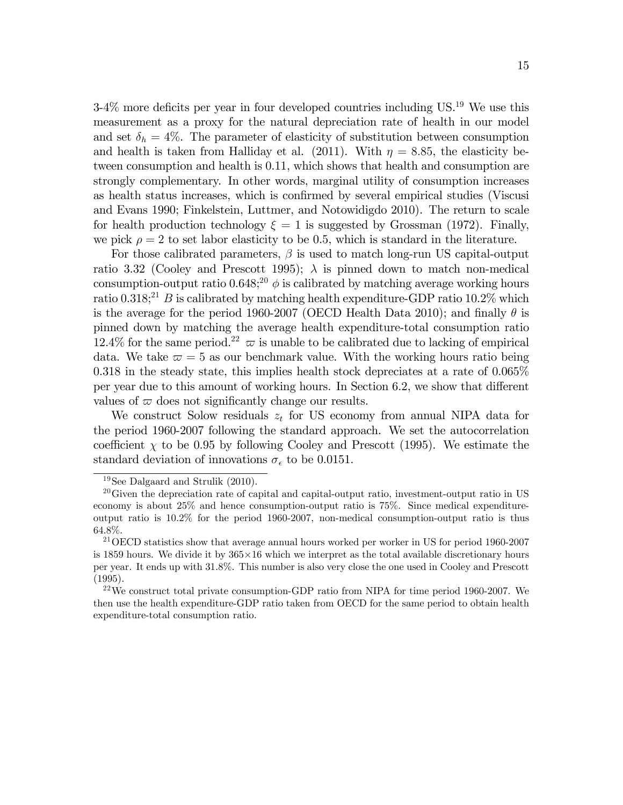$3-4\%$  more deficits per year in four developed countries including US.<sup>19</sup> We use this measurement as a proxy for the natural depreciation rate of health in our model and set  $\delta_h = 4\%$ . The parameter of elasticity of substitution between consumption and health is taken from Halliday et al. (2011). With  $\eta = 8.85$ , the elasticity between consumption and health is 0.11, which shows that health and consumption are strongly complementary. In other words, marginal utility of consumption increases as health status increases, which is confirmed by several empirical studies (Viscusi and Evans 1990; Finkelstein, Luttmer, and Notowidigdo 2010). The return to scale for health production technology  $\xi = 1$  is suggested by Grossman (1972). Finally, we pick  $\rho = 2$  to set labor elasticity to be 0.5, which is standard in the literature.

For those calibrated parameters,  $\beta$  is used to match long-run US capital-output ratio 3.32 (Cooley and Prescott 1995);  $\lambda$  is pinned down to match non-medical consumption-output ratio 0.648;<sup>20</sup>  $\phi$  is calibrated by matching average working hours ratio 0.318;<sup>21</sup> B is calibrated by matching health expenditure-GDP ratio 10.2% which is the average for the period 1960-2007 (OECD Health Data 2010); and finally  $\theta$  is pinned down by matching the average health expenditure-total consumption ratio 12.4% for the same period.<sup>22</sup>  $\varpi$  is unable to be calibrated due to lacking of empirical data. We take  $\varpi = 5$  as our benchmark value. With the working hours ratio being 0.318 in the steady state, this implies health stock depreciates at a rate of 0.065% per year due to this amount of working hours. In Section 6.2, we show that different values of  $\varpi$  does not significantly change our results.

We construct Solow residuals  $z_t$  for US economy from annual NIPA data for the period 1960-2007 following the standard approach. We set the autocorrelation coefficient  $\chi$  to be 0.95 by following Cooley and Prescott (1995). We estimate the standard deviation of innovations  $\sigma_{\epsilon}$  to be 0.0151.

<sup>19</sup>See Dalgaard and Strulik (2010).

 $20$ Given the depreciation rate of capital and capital-output ratio, investment-output ratio in US economy is about 25% and hence consumption-output ratio is 75%. Since medical expenditureoutput ratio is 10.2% for the period 1960-2007, non-medical consumption-output ratio is thus 64.8%.

<sup>&</sup>lt;sup>21</sup>OECD statistics show that average annual hours worked per worker in US for period 1960-2007 is 1859 hours. We divide it by  $365\times16$  which we interpret as the total available discretionary hours per year. It ends up with 31.8%. This number is also very close the one used in Cooley and Prescott (1995).

<sup>22</sup>We construct total private consumption-GDP ratio from NIPA for time period 1960-2007. We then use the health expenditure-GDP ratio taken from OECD for the same period to obtain health expenditure-total consumption ratio.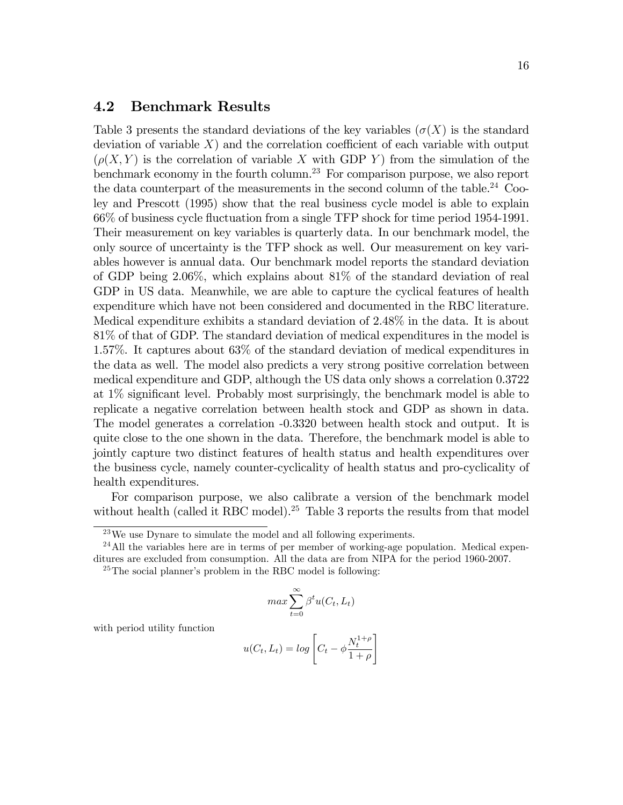#### 4.2 Benchmark Results

Table 3 presents the standard deviations of the key variables ( $\sigma(X)$ ) is the standard deviation of variable  $X$ ) and the correlation coefficient of each variable with output  $(\rho(X, Y))$  is the correlation of variable X with GDP Y from the simulation of the benchmark economy in the fourth column.<sup>23</sup> For comparison purpose, we also report the data counterpart of the measurements in the second column of the table.<sup>24</sup> Cooley and Prescott (1995) show that the real business cycle model is able to explain 66% of business cycle áuctuation from a single TFP shock for time period 1954-1991. Their measurement on key variables is quarterly data. In our benchmark model, the only source of uncertainty is the TFP shock as well. Our measurement on key variables however is annual data. Our benchmark model reports the standard deviation of GDP being 2.06%, which explains about 81% of the standard deviation of real GDP in US data. Meanwhile, we are able to capture the cyclical features of health expenditure which have not been considered and documented in the RBC literature. Medical expenditure exhibits a standard deviation of 2.48% in the data. It is about 81% of that of GDP. The standard deviation of medical expenditures in the model is 1.57%. It captures about 63% of the standard deviation of medical expenditures in the data as well. The model also predicts a very strong positive correlation between medical expenditure and GDP, although the US data only shows a correlation 0.3722 at  $1\%$  significant level. Probably most surprisingly, the benchmark model is able to replicate a negative correlation between health stock and GDP as shown in data. The model generates a correlation -0.3320 between health stock and output. It is quite close to the one shown in the data. Therefore, the benchmark model is able to jointly capture two distinct features of health status and health expenditures over the business cycle, namely counter-cyclicality of health status and pro-cyclicality of health expenditures.

For comparison purpose, we also calibrate a version of the benchmark model without health (called it RBC model).<sup>25</sup> Table 3 reports the results from that model

$$
max \sum_{t=0}^{\infty} \beta^t u(C_t, L_t)
$$

with period utility function

$$
u(C_t, L_t) = \log \left[ C_t - \phi \frac{N_t^{1+\rho}}{1+\rho} \right]
$$

 $^{23}$ We use Dynare to simulate the model and all following experiments.

 $^{24}$ All the variables here are in terms of per member of working-age population. Medical expenditures are excluded from consumption. All the data are from NIPA for the period 1960-2007.

 $25$ The social planner's problem in the RBC model is following: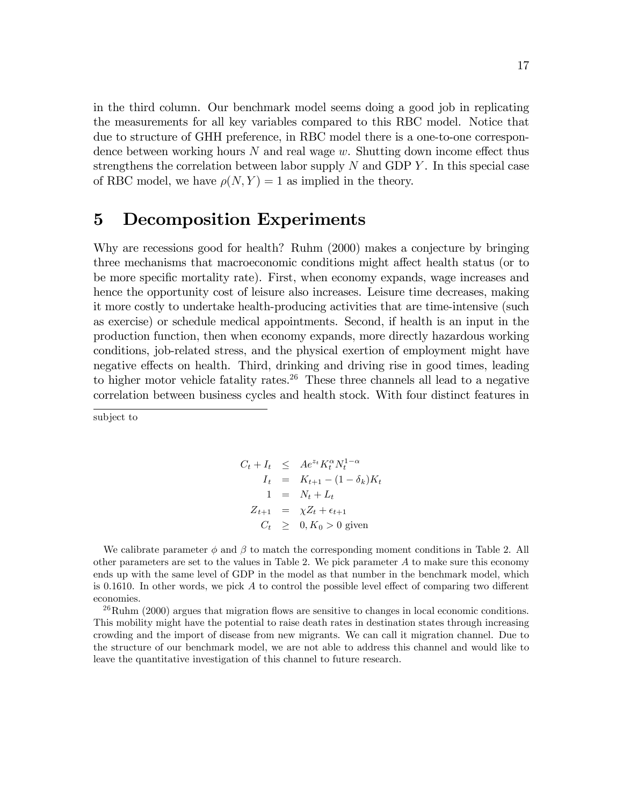in the third column. Our benchmark model seems doing a good job in replicating the measurements for all key variables compared to this RBC model. Notice that due to structure of GHH preference, in RBC model there is a one-to-one correspondence between working hours  $N$  and real wage  $w$ . Shutting down income effect thus strengthens the correlation between labor supply  $N$  and GDP  $Y$ . In this special case of RBC model, we have  $\rho(N, Y) = 1$  as implied in the theory.

## 5 Decomposition Experiments

Why are recessions good for health? Ruhm (2000) makes a conjecture by bringing three mechanisms that macroeconomic conditions might affect health status (or to be more specific mortality rate). First, when economy expands, wage increases and hence the opportunity cost of leisure also increases. Leisure time decreases, making it more costly to undertake health-producing activities that are time-intensive (such as exercise) or schedule medical appointments. Second, if health is an input in the production function, then when economy expands, more directly hazardous working conditions, job-related stress, and the physical exertion of employment might have negative effects on health. Third, drinking and driving rise in good times, leading to higher motor vehicle fatality rates.<sup>26</sup> These three channels all lead to a negative correlation between business cycles and health stock. With four distinct features in

subject to

$$
C_t + I_t \leq Ae^{z_t} K_t^{\alpha} N_t^{1-\alpha}
$$
  
\n
$$
I_t = K_{t+1} - (1 - \delta_k) K_t
$$
  
\n
$$
1 = N_t + L_t
$$
  
\n
$$
Z_{t+1} = \chi Z_t + \epsilon_{t+1}
$$
  
\n
$$
C_t \geq 0, K_0 > 0 \text{ given}
$$

We calibrate parameter  $\phi$  and  $\beta$  to match the corresponding moment conditions in Table 2. All other parameters are set to the values in Table 2. We pick parameter  $A$  to make sure this economy ends up with the same level of GDP in the model as that number in the benchmark model, which is 0.1610. In other words, we pick A to control the possible level effect of comparing two different economies.

 $^{26}$ Ruhm (2000) argues that migration flows are sensitive to changes in local economic conditions. This mobility might have the potential to raise death rates in destination states through increasing crowding and the import of disease from new migrants. We can call it migration channel. Due to the structure of our benchmark model, we are not able to address this channel and would like to leave the quantitative investigation of this channel to future research.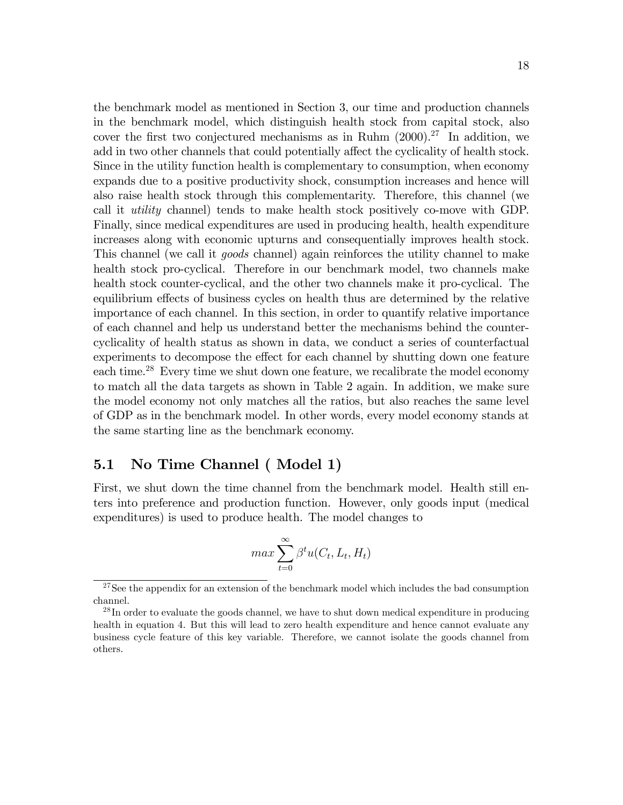the benchmark model as mentioned in Section 3, our time and production channels in the benchmark model, which distinguish health stock from capital stock, also cover the first two conjectured mechanisms as in Ruhm  $(2000)^{27}$  In addition, we add in two other channels that could potentially affect the cyclicality of health stock. Since in the utility function health is complementary to consumption, when economy expands due to a positive productivity shock, consumption increases and hence will also raise health stock through this complementarity. Therefore, this channel (we call it utility channel) tends to make health stock positively co-move with GDP. Finally, since medical expenditures are used in producing health, health expenditure increases along with economic upturns and consequentially improves health stock. This channel (we call it goods channel) again reinforces the utility channel to make health stock pro-cyclical. Therefore in our benchmark model, two channels make health stock counter-cyclical, and the other two channels make it pro-cyclical. The equilibrium effects of business cycles on health thus are determined by the relative importance of each channel. In this section, in order to quantify relative importance of each channel and help us understand better the mechanisms behind the countercyclicality of health status as shown in data, we conduct a series of counterfactual experiments to decompose the effect for each channel by shutting down one feature each time.<sup>28</sup> Every time we shut down one feature, we recalibrate the model economy to match all the data targets as shown in Table 2 again. In addition, we make sure the model economy not only matches all the ratios, but also reaches the same level of GDP as in the benchmark model. In other words, every model economy stands at the same starting line as the benchmark economy.

#### 5.1 No Time Channel ( Model 1)

First, we shut down the time channel from the benchmark model. Health still enters into preference and production function. However, only goods input (medical expenditures) is used to produce health. The model changes to

$$
max \sum_{t=0}^{\infty} \beta^t u(C_t, L_t, H_t)
$$

 $27$ See the appendix for an extension of the benchmark model which includes the bad consumption channel.

<sup>&</sup>lt;sup>28</sup>In order to evaluate the goods channel, we have to shut down medical expenditure in producing health in equation 4. But this will lead to zero health expenditure and hence cannot evaluate any business cycle feature of this key variable. Therefore, we cannot isolate the goods channel from others.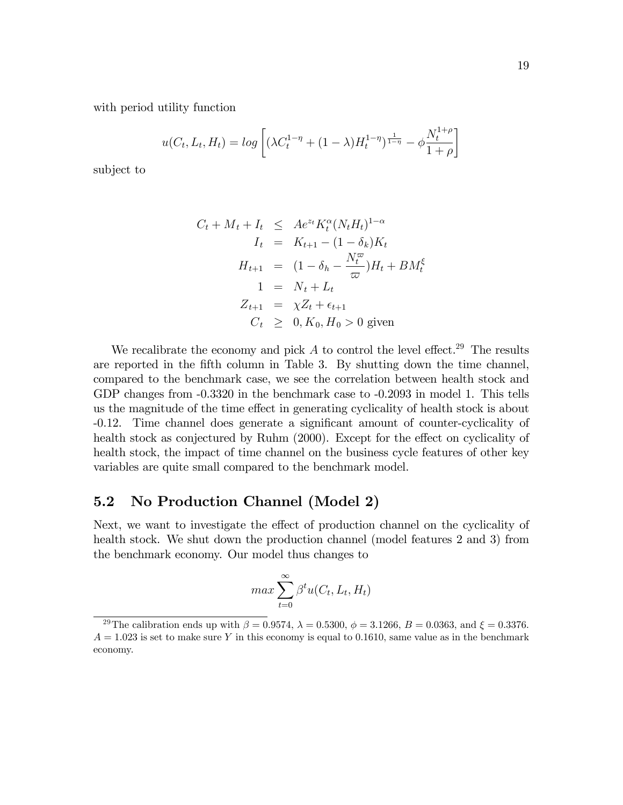with period utility function

$$
u(C_t, L_t, H_t) = \log \left[ (\lambda C_t^{1-\eta} + (1-\lambda)H_t^{1-\eta})^{\frac{1}{1-\eta}} - \phi \frac{N_t^{1+\rho}}{1+\rho} \right]
$$

subject to

$$
C_t + M_t + I_t \leq Ae^{z_t} K_t^{\alpha} (N_t H_t)^{1-\alpha}
$$
  
\n
$$
I_t = K_{t+1} - (1 - \delta_k) K_t
$$
  
\n
$$
H_{t+1} = (1 - \delta_h - \frac{N_t^{\varpi}}{\varpi}) H_t + BM_t^{\xi}
$$
  
\n
$$
1 = N_t + L_t
$$
  
\n
$$
Z_{t+1} = \chi Z_t + \epsilon_{t+1}
$$
  
\n
$$
C_t \geq 0, K_0, H_0 > 0 \text{ given}
$$

We recalibrate the economy and pick  $A$  to control the level effect.<sup>29</sup> The results are reported in the fifth column in Table 3. By shutting down the time channel, compared to the benchmark case, we see the correlation between health stock and GDP changes from  $-0.3320$  in the benchmark case to  $-0.2093$  in model 1. This tells us the magnitude of the time effect in generating cyclicality of health stock is about -0.12. Time channel does generate a signiÖcant amount of counter-cyclicality of health stock as conjectured by Ruhm (2000). Except for the effect on cyclicality of health stock, the impact of time channel on the business cycle features of other key variables are quite small compared to the benchmark model.

#### 5.2 No Production Channel (Model 2)

Next, we want to investigate the effect of production channel on the cyclicality of health stock. We shut down the production channel (model features 2 and 3) from the benchmark economy. Our model thus changes to

$$
max \sum_{t=0}^{\infty} \beta^t u(C_t, L_t, H_t)
$$

<sup>&</sup>lt;sup>29</sup>The calibration ends up with  $\beta = 0.9574$ ,  $\lambda = 0.5300$ ,  $\phi = 3.1266$ ,  $B = 0.0363$ , and  $\xi = 0.3376$ .  $A = 1.023$  is set to make sure Y in this economy is equal to 0.1610, same value as in the benchmark economy.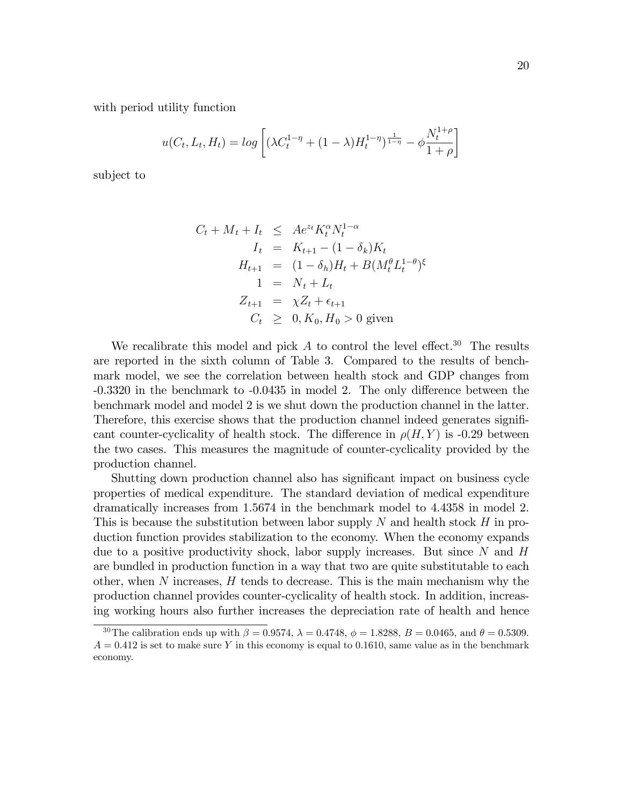with period utility function

$$
u(C_t, L_t, H_t) = \log \left[ (\lambda C_t^{1-\eta} + (1-\lambda)H_t^{1-\eta})^{\frac{1}{1-\eta}} - \phi \frac{N_t^{1+\rho}}{1+\rho} \right]
$$

subject to

$$
C_t + M_t + I_t \leq Ae^{z_t} K_t^{\alpha} N_t^{1-\alpha}
$$
  
\n
$$
I_t = K_{t+1} - (1 - \delta_k) K_t
$$
  
\n
$$
H_{t+1} = (1 - \delta_h) H_t + B(M_t^{\theta} L_t^{1-\theta})^{\xi}
$$
  
\n
$$
1 = N_t + L_t
$$
  
\n
$$
Z_{t+1} = \chi Z_t + \epsilon_{t+1}
$$
  
\n
$$
C_t \geq 0, K_0, H_0 > 0 \text{ given}
$$

We recalibrate this model and pick A to control the level effect.<sup>30</sup> The results are reported in the sixth column of Table 3. Compared to the results of benchmark model, we see the correlation between health stock and GDP changes from  $-0.3320$  in the benchmark to  $-0.0435$  in model 2. The only difference between the benchmark model and model 2 is we shut down the production channel in the latter. Therefore, this exercise shows that the production channel indeed generates significant counter-cyclicality of health stock. The difference in  $\rho(H, Y)$  is -0.29 between the two cases. This measures the magnitude of counter-cyclicality provided by the production channel.

Shutting down production channel also has significant impact on business cycle properties of medical expenditure. The standard deviation of medical expenditure dramatically increases from 1.5674 in the benchmark model to 4.4358 in model 2. This is because the substitution between labor supply  $N$  and health stock  $H$  in production function provides stabilization to the economy. When the economy expands due to a positive productivity shock, labor supply increases. But since  $N$  and  $H$ are bundled in production function in a way that two are quite substitutable to each other, when  $N$  increases,  $H$  tends to decrease. This is the main mechanism why the production channel provides counter-cyclicality of health stock. In addition, increasing working hours also further increases the depreciation rate of health and hence

<sup>&</sup>lt;sup>30</sup>The calibration ends up with  $\beta = 0.9574$ ,  $\lambda = 0.4748$ ,  $\phi = 1.8288$ ,  $B = 0.0465$ , and  $\theta = 0.5309$ .  $A = 0.412$  is set to make sure Y in this economy is equal to 0.1610, same value as in the benchmark economy.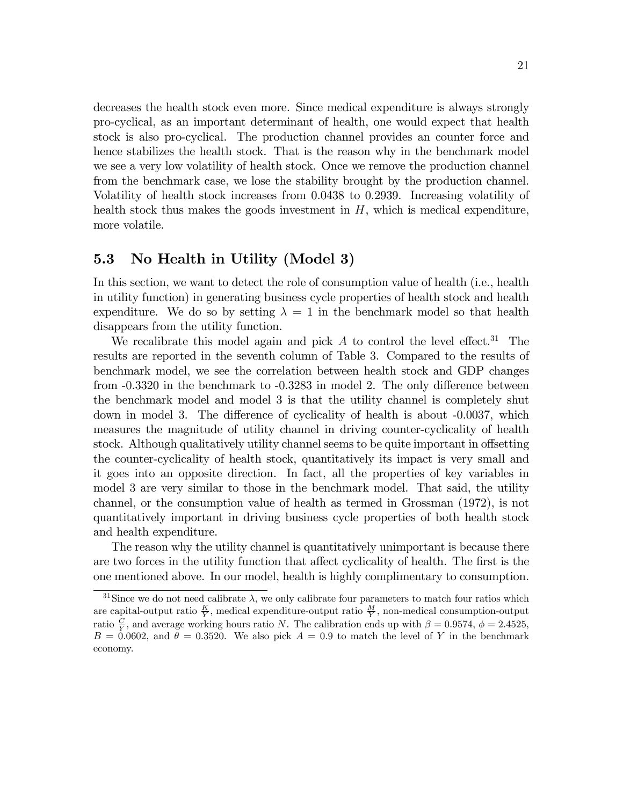decreases the health stock even more. Since medical expenditure is always strongly pro-cyclical, as an important determinant of health, one would expect that health stock is also pro-cyclical. The production channel provides an counter force and hence stabilizes the health stock. That is the reason why in the benchmark model we see a very low volatility of health stock. Once we remove the production channel from the benchmark case, we lose the stability brought by the production channel. Volatility of health stock increases from 0.0438 to 0.2939. Increasing volatility of health stock thus makes the goods investment in  $H$ , which is medical expenditure, more volatile.

#### 5.3 No Health in Utility (Model 3)

In this section, we want to detect the role of consumption value of health (i.e., health in utility function) in generating business cycle properties of health stock and health expenditure. We do so by setting  $\lambda = 1$  in the benchmark model so that health disappears from the utility function.

We recalibrate this model again and pick A to control the level effect.<sup>31</sup> The results are reported in the seventh column of Table 3. Compared to the results of benchmark model, we see the correlation between health stock and GDP changes from  $-0.3320$  in the benchmark to  $-0.3283$  in model 2. The only difference between the benchmark model and model 3 is that the utility channel is completely shut down in model 3. The difference of cyclicality of health is about  $-0.0037$ , which measures the magnitude of utility channel in driving counter-cyclicality of health stock. Although qualitatively utility channel seems to be quite important in offsetting the counter-cyclicality of health stock, quantitatively its impact is very small and it goes into an opposite direction. In fact, all the properties of key variables in model 3 are very similar to those in the benchmark model. That said, the utility channel, or the consumption value of health as termed in Grossman (1972), is not quantitatively important in driving business cycle properties of both health stock and health expenditure.

The reason why the utility channel is quantitatively unimportant is because there are two forces in the utility function that affect cyclicality of health. The first is the one mentioned above. In our model, health is highly complimentary to consumption.

<sup>&</sup>lt;sup>31</sup>Since we do not need calibrate  $\lambda$ , we only calibrate four parameters to match four ratios which are capital-output ratio  $\frac{K}{Y}$ , medical expenditure-output ratio  $\frac{M}{Y}$ , non-medical consumption-output ratio  $\frac{C}{Y}$ , and average working hours ratio N. The calibration ends up with  $\beta = 0.9574$ ,  $\phi = 2.4525$ ,  $B = 0.0602$ , and  $\theta = 0.3520$ . We also pick  $A = 0.9$  to match the level of Y in the benchmark economy.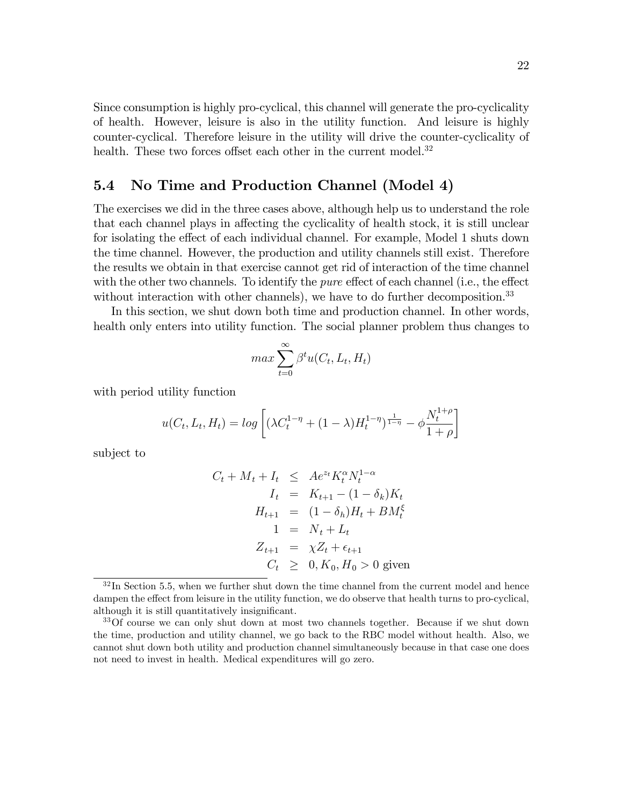Since consumption is highly pro-cyclical, this channel will generate the pro-cyclicality of health. However, leisure is also in the utility function. And leisure is highly counter-cyclical. Therefore leisure in the utility will drive the counter-cyclicality of health. These two forces offset each other in the current model.<sup>32</sup>

#### 5.4 No Time and Production Channel (Model 4)

The exercises we did in the three cases above, although help us to understand the role that each channel plays in affecting the cyclicality of health stock, it is still unclear for isolating the effect of each individual channel. For example, Model 1 shuts down the time channel. However, the production and utility channels still exist. Therefore the results we obtain in that exercise cannot get rid of interaction of the time channel with the other two channels. To identify the *pure* effect of each channel (i.e., the effect without interaction with other channels), we have to do further decomposition.<sup>33</sup>

In this section, we shut down both time and production channel. In other words, health only enters into utility function. The social planner problem thus changes to

$$
max \sum_{t=0}^{\infty} \beta^t u(C_t, L_t, H_t)
$$

with period utility function

$$
u(C_t, L_t, H_t) = \log \left[ (\lambda C_t^{1-\eta} + (1-\lambda)H_t^{1-\eta})^{\frac{1}{1-\eta}} - \phi \frac{N_t^{1+\rho}}{1+\rho} \right]
$$

subject to

$$
C_t + M_t + I_t \leq Ae^{z_t} K_t^{\alpha} N_t^{1-\alpha}
$$
  
\n
$$
I_t = K_{t+1} - (1 - \delta_k) K_t
$$
  
\n
$$
H_{t+1} = (1 - \delta_h) H_t + BM_t^{\xi}
$$
  
\n
$$
1 = N_t + L_t
$$
  
\n
$$
Z_{t+1} = \chi Z_t + \epsilon_{t+1}
$$
  
\n
$$
C_t \geq 0, K_0, H_0 > 0 \text{ given}
$$

 $32 \text{In Section 5.5, when we further shut down the time channel from the current model and hence}$ dampen the effect from leisure in the utility function, we do observe that health turns to pro-cyclical, although it is still quantitatively insignificant.

<sup>&</sup>lt;sup>33</sup>Of course we can only shut down at most two channels together. Because if we shut down the time, production and utility channel, we go back to the RBC model without health. Also, we cannot shut down both utility and production channel simultaneously because in that case one does not need to invest in health. Medical expenditures will go zero.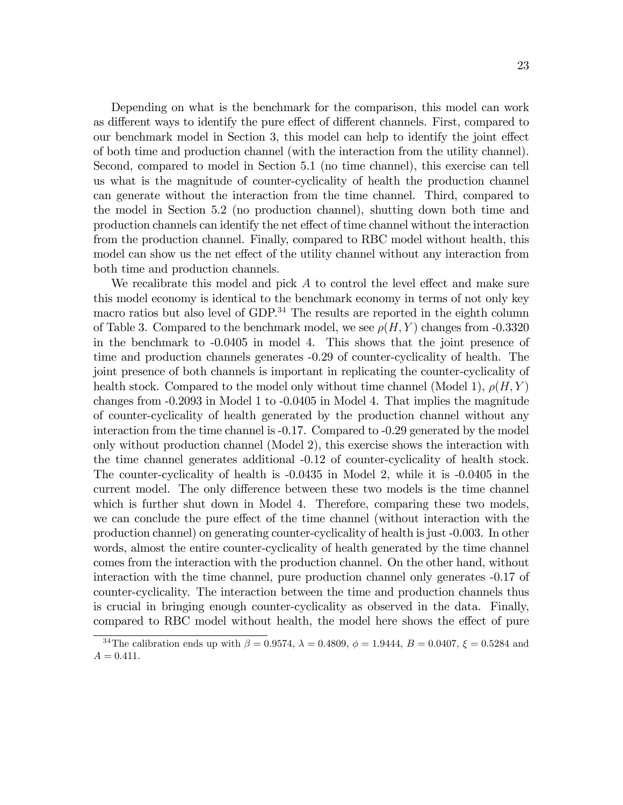Depending on what is the benchmark for the comparison, this model can work as different ways to identify the pure effect of different channels. First, compared to our benchmark model in Section 3, this model can help to identify the joint effect of both time and production channel (with the interaction from the utility channel). Second, compared to model in Section 5.1 (no time channel), this exercise can tell us what is the magnitude of counter-cyclicality of health the production channel can generate without the interaction from the time channel. Third, compared to the model in Section 5.2 (no production channel), shutting down both time and production channels can identify the net effect of time channel without the interaction from the production channel. Finally, compared to RBC model without health, this model can show us the net effect of the utility channel without any interaction from both time and production channels.

We recalibrate this model and pick  $A$  to control the level effect and make sure this model economy is identical to the benchmark economy in terms of not only key macro ratios but also level of GDP.<sup>34</sup> The results are reported in the eighth column of Table 3. Compared to the benchmark model, we see  $\rho(H, Y)$  changes from -0.3320 in the benchmark to -0.0405 in model 4. This shows that the joint presence of time and production channels generates -0.29 of counter-cyclicality of health. The joint presence of both channels is important in replicating the counter-cyclicality of health stock. Compared to the model only without time channel (Model 1),  $\rho(H, Y)$ changes from -0.2093 in Model 1 to -0.0405 in Model 4. That implies the magnitude of counter-cyclicality of health generated by the production channel without any interaction from the time channel is -0.17. Compared to -0.29 generated by the model only without production channel (Model 2), this exercise shows the interaction with the time channel generates additional -0.12 of counter-cyclicality of health stock. The counter-cyclicality of health is -0.0435 in Model 2, while it is -0.0405 in the current model. The only difference between these two models is the time channel which is further shut down in Model 4. Therefore, comparing these two models, we can conclude the pure effect of the time channel (without interaction with the production channel) on generating counter-cyclicality of health is just -0.003. In other words, almost the entire counter-cyclicality of health generated by the time channel comes from the interaction with the production channel. On the other hand, without interaction with the time channel, pure production channel only generates -0.17 of counter-cyclicality. The interaction between the time and production channels thus is crucial in bringing enough counter-cyclicality as observed in the data. Finally, compared to RBC model without health, the model here shows the effect of pure

<sup>&</sup>lt;sup>34</sup>The calibration ends up with  $\beta = 0.9574$ ,  $\lambda = 0.4809$ ,  $\phi = 1.9444$ ,  $B = 0.0407$ ,  $\xi = 0.5284$  and  $A = 0.411.$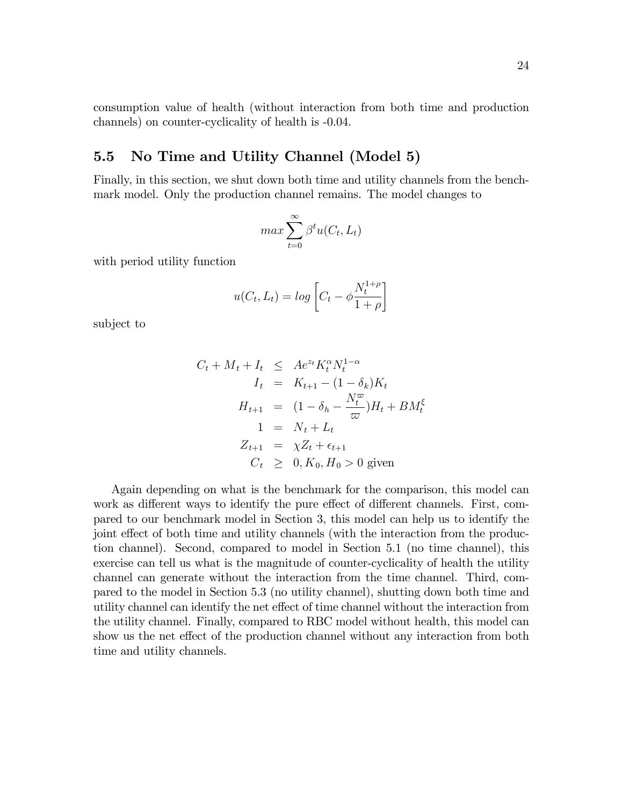consumption value of health (without interaction from both time and production channels) on counter-cyclicality of health is -0.04.

#### 5.5 No Time and Utility Channel (Model 5)

Finally, in this section, we shut down both time and utility channels from the benchmark model. Only the production channel remains. The model changes to

$$
max \sum_{t=0}^{\infty} \beta^t u(C_t, L_t)
$$

with period utility function

$$
u(C_t, L_t) = \log \left[ C_t - \phi \frac{N_t^{1+\rho}}{1+\rho} \right]
$$

subject to

$$
C_t + M_t + I_t \leq Ae^{z_t} K_t^{\alpha} N_t^{1-\alpha}
$$
  
\n
$$
I_t = K_{t+1} - (1 - \delta_k) K_t
$$
  
\n
$$
H_{t+1} = (1 - \delta_h - \frac{N_t^{\varpi}}{\varpi}) H_t + BM_t^{\xi}
$$
  
\n
$$
1 = N_t + L_t
$$
  
\n
$$
Z_{t+1} = \chi Z_t + \epsilon_{t+1}
$$
  
\n
$$
C_t \geq 0, K_0, H_0 > 0 \text{ given}
$$

Again depending on what is the benchmark for the comparison, this model can work as different ways to identify the pure effect of different channels. First, compared to our benchmark model in Section 3, this model can help us to identify the joint effect of both time and utility channels (with the interaction from the production channel). Second, compared to model in Section 5.1 (no time channel), this exercise can tell us what is the magnitude of counter-cyclicality of health the utility channel can generate without the interaction from the time channel. Third, compared to the model in Section 5.3 (no utility channel), shutting down both time and utility channel can identify the net effect of time channel without the interaction from the utility channel. Finally, compared to RBC model without health, this model can show us the net effect of the production channel without any interaction from both time and utility channels.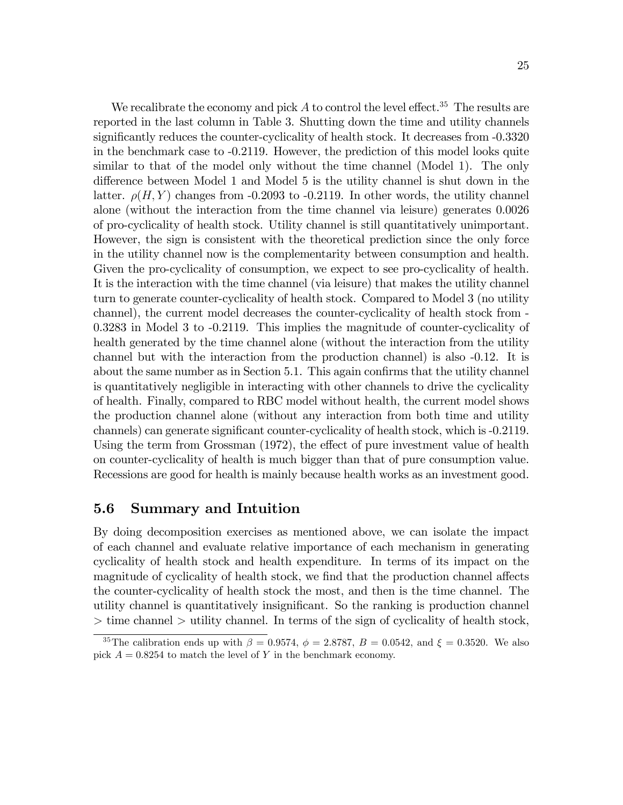25

reported in the last column in Table 3. Shutting down the time and utility channels significantly reduces the counter-cyclicality of health stock. It decreases from  $-0.3320$ in the benchmark case to -0.2119. However, the prediction of this model looks quite similar to that of the model only without the time channel (Model 1). The only difference between Model 1 and Model 5 is the utility channel is shut down in the latter.  $\rho(H, Y)$  changes from -0.2093 to -0.2119. In other words, the utility channel alone (without the interaction from the time channel via leisure) generates 0.0026 of pro-cyclicality of health stock. Utility channel is still quantitatively unimportant. However, the sign is consistent with the theoretical prediction since the only force in the utility channel now is the complementarity between consumption and health. Given the pro-cyclicality of consumption, we expect to see pro-cyclicality of health. It is the interaction with the time channel (via leisure) that makes the utility channel turn to generate counter-cyclicality of health stock. Compared to Model 3 (no utility channel), the current model decreases the counter-cyclicality of health stock from - 0.3283 in Model 3 to -0.2119. This implies the magnitude of counter-cyclicality of health generated by the time channel alone (without the interaction from the utility channel but with the interaction from the production channel) is also -0.12. It is about the same number as in Section 5.1. This again confirms that the utility channel is quantitatively negligible in interacting with other channels to drive the cyclicality of health. Finally, compared to RBC model without health, the current model shows the production channel alone (without any interaction from both time and utility channels) can generate significant counter-cyclicality of health stock, which is  $-0.2119$ . Using the term from Grossman  $(1972)$ , the effect of pure investment value of health on counter-cyclicality of health is much bigger than that of pure consumption value. Recessions are good for health is mainly because health works as an investment good.

#### 5.6 Summary and Intuition

By doing decomposition exercises as mentioned above, we can isolate the impact of each channel and evaluate relative importance of each mechanism in generating cyclicality of health stock and health expenditure. In terms of its impact on the magnitude of cyclicality of health stock, we find that the production channel affects the counter-cyclicality of health stock the most, and then is the time channel. The utility channel is quantitatively insignificant. So the ranking is production channel  $>$  time channel  $>$  utility channel. In terms of the sign of cyclicality of health stock,

<sup>&</sup>lt;sup>35</sup>The calibration ends up with  $\beta = 0.9574$ ,  $\phi = 2.8787$ ,  $B = 0.0542$ , and  $\xi = 0.3520$ . We also pick  $A = 0.8254$  to match the level of Y in the benchmark economy.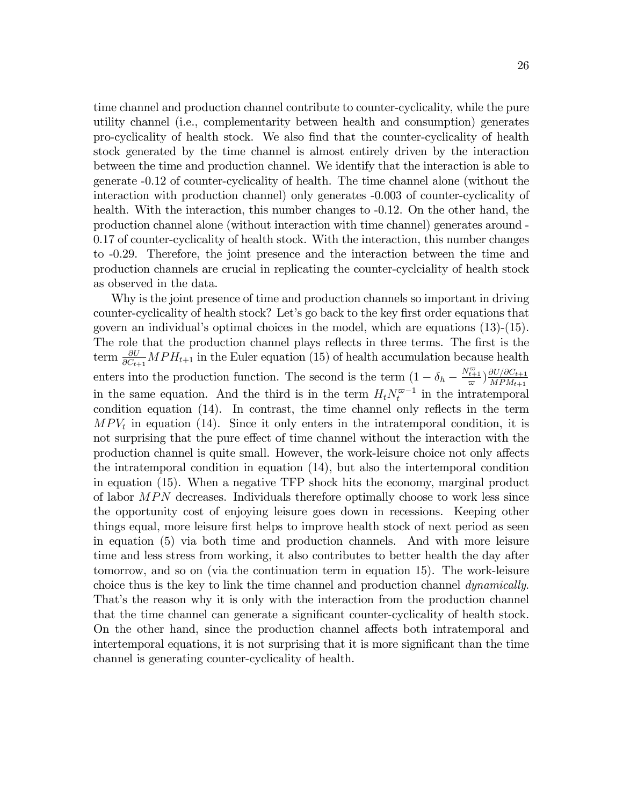time channel and production channel contribute to counter-cyclicality, while the pure utility channel (i.e., complementarity between health and consumption) generates pro-cyclicality of health stock. We also Önd that the counter-cyclicality of health stock generated by the time channel is almost entirely driven by the interaction between the time and production channel. We identify that the interaction is able to generate -0.12 of counter-cyclicality of health. The time channel alone (without the interaction with production channel) only generates -0.003 of counter-cyclicality of health. With the interaction, this number changes to  $-0.12$ . On the other hand, the production channel alone (without interaction with time channel) generates around - 0.17 of counter-cyclicality of health stock. With the interaction, this number changes to -0.29. Therefore, the joint presence and the interaction between the time and production channels are crucial in replicating the counter-cyclciality of health stock as observed in the data.

Why is the joint presence of time and production channels so important in driving counter-cyclicality of health stock? Let's go back to the key first order equations that govern an individual's optimal choices in the model, which are equations  $(13)-(15)$ . The role that the production channel plays reflects in three terms. The first is the term  $\frac{\partial U}{\partial C_{t+1}} MPH_{t+1}$  in the Euler equation (15) of health accumulation because health enters into the production function. The second is the term  $(1 - \delta_h - \frac{N_{t+1}^{\varpi}}{\varpi}) \frac{\partial U/\partial C_{t+1}}{MPM_{t+1}}$  $MPM_{t+1}$ in the same equation. And the third is in the term  $H_t N_t^{\varpi-1}$  in the intratemporal condition equation  $(14)$ . In contrast, the time channel only reflects in the term  $MPV<sub>t</sub>$  in equation (14). Since it only enters in the intratemporal condition, it is not surprising that the pure effect of time channel without the interaction with the production channel is quite small. However, the work-leisure choice not only affects the intratemporal condition in equation (14), but also the intertemporal condition in equation (15). When a negative TFP shock hits the economy, marginal product of labor  $MPN$  decreases. Individuals therefore optimally choose to work less since the opportunity cost of enjoying leisure goes down in recessions. Keeping other things equal, more leisure first helps to improve health stock of next period as seen in equation (5) via both time and production channels. And with more leisure time and less stress from working, it also contributes to better health the day after tomorrow, and so on (via the continuation term in equation 15). The work-leisure choice thus is the key to link the time channel and production channel dynamically. That's the reason why it is only with the interaction from the production channel that the time channel can generate a significant counter-cyclicality of health stock. On the other hand, since the production channel affects both intratemporal and intertemporal equations, it is not surprising that it is more significant than the time channel is generating counter-cyclicality of health.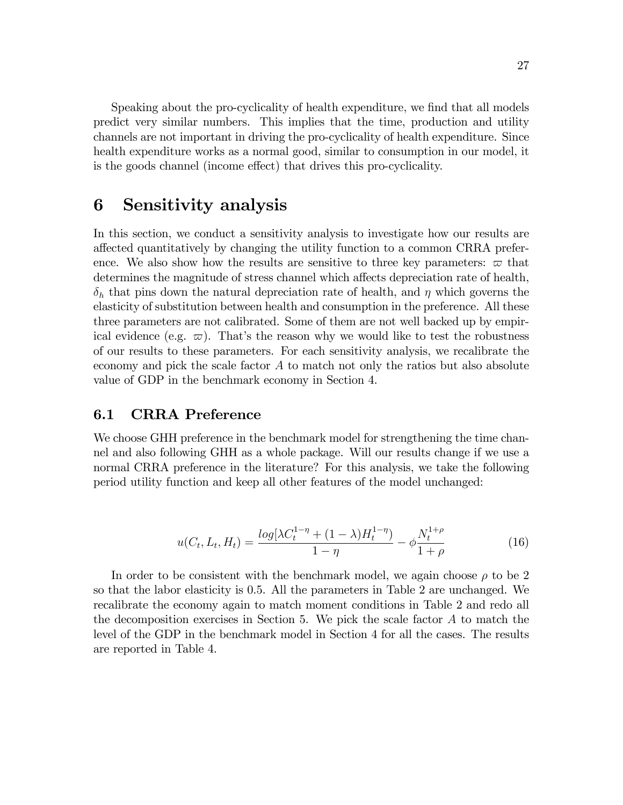Speaking about the pro-cyclicality of health expenditure, we find that all models predict very similar numbers. This implies that the time, production and utility channels are not important in driving the pro-cyclicality of health expenditure. Since health expenditure works as a normal good, similar to consumption in our model, it is the goods channel (income effect) that drives this pro-cyclicality.

## 6 Sensitivity analysis

In this section, we conduct a sensitivity analysis to investigate how our results are a§ected quantitatively by changing the utility function to a common CRRA preference. We also show how the results are sensitive to three key parameters:  $\varpi$  that determines the magnitude of stress channel which affects depreciation rate of health,  $\delta_h$  that pins down the natural depreciation rate of health, and  $\eta$  which governs the elasticity of substitution between health and consumption in the preference. All these three parameters are not calibrated. Some of them are not well backed up by empirical evidence (e.g.  $\varpi$ ). That's the reason why we would like to test the robustness of our results to these parameters. For each sensitivity analysis, we recalibrate the economy and pick the scale factor  $A$  to match not only the ratios but also absolute value of GDP in the benchmark economy in Section 4.

### 6.1 CRRA Preference

We choose GHH preference in the benchmark model for strengthening the time channel and also following GHH as a whole package. Will our results change if we use a normal CRRA preference in the literature? For this analysis, we take the following period utility function and keep all other features of the model unchanged:

$$
u(C_t, L_t, H_t) = \frac{\log[\lambda C_t^{1-\eta} + (1-\lambda)H_t^{1-\eta})}{1-\eta} - \phi \frac{N_t^{1+\rho}}{1+\rho}
$$
(16)

In order to be consistent with the benchmark model, we again choose  $\rho$  to be 2 so that the labor elasticity is 0.5. All the parameters in Table 2 are unchanged. We recalibrate the economy again to match moment conditions in Table 2 and redo all the decomposition exercises in Section 5. We pick the scale factor  $A$  to match the level of the GDP in the benchmark model in Section 4 for all the cases. The results are reported in Table 4.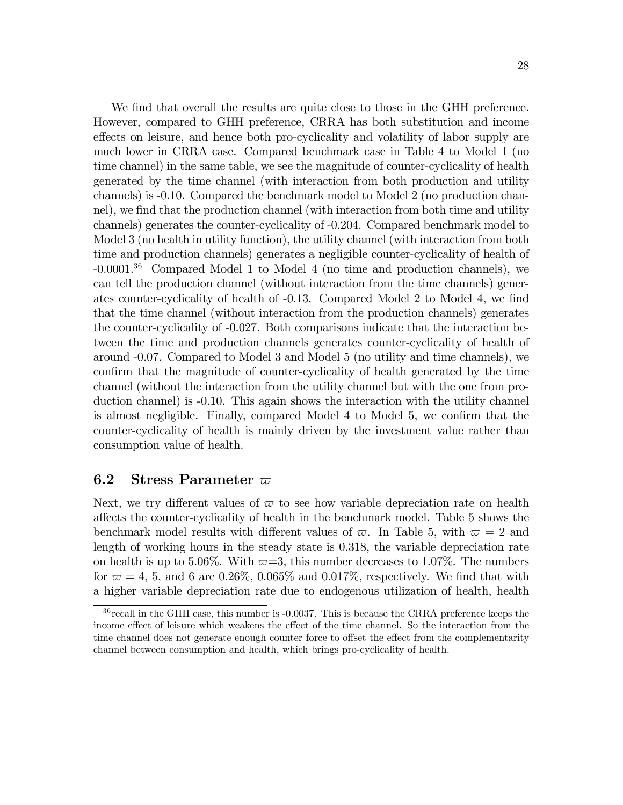We find that overall the results are quite close to those in the GHH preference. However, compared to GHH preference, CRRA has both substitution and income effects on leisure, and hence both pro-cyclicality and volatility of labor supply are much lower in CRRA case. Compared benchmark case in Table 4 to Model 1 (no time channel) in the same table, we see the magnitude of counter-cyclicality of health generated by the time channel (with interaction from both production and utility channels) is -0.10. Compared the benchmark model to Model 2 (no production channel), we find that the production channel (with interaction from both time and utility channels) generates the counter-cyclicality of -0.204. Compared benchmark model to Model 3 (no health in utility function), the utility channel (with interaction from both time and production channels) generates a negligible counter-cyclicality of health of  $-0.0001$ .<sup>36</sup> Compared Model 1 to Model 4 (no time and production channels), we can tell the production channel (without interaction from the time channels) generates counter-cyclicality of health of  $-0.13$ . Compared Model 2 to Model 4, we find that the time channel (without interaction from the production channels) generates the counter-cyclicality of -0.027. Both comparisons indicate that the interaction between the time and production channels generates counter-cyclicality of health of around -0.07. Compared to Model 3 and Model 5 (no utility and time channels), we confirm that the magnitude of counter-cyclicality of health generated by the time channel (without the interaction from the utility channel but with the one from production channel) is -0.10. This again shows the interaction with the utility channel is almost negligible. Finally, compared Model 4 to Model 5, we confirm that the counter-cyclicality of health is mainly driven by the investment value rather than consumption value of health.

#### 6.2 Stress Parameter  $\varpi$

Next, we try different values of  $\varpi$  to see how variable depreciation rate on health affects the counter-cyclicality of health in the benchmark model. Table 5 shows the benchmark model results with different values of  $\varpi$ . In Table 5, with  $\varpi = 2$  and length of working hours in the steady state is 0.318, the variable depreciation rate on health is up to 5.06%. With  $\varpi=3$ , this number decreases to 1.07%. The numbers for  $\varpi = 4$ , 5, and 6 are 0.26%, 0.065% and 0.017%, respectively. We find that with a higher variable depreciation rate due to endogenous utilization of health, health

<sup>&</sup>lt;sup>36</sup> recall in the GHH case, this number is -0.0037. This is because the CRRA preference keeps the income effect of leisure which weakens the effect of the time channel. So the interaction from the time channel does not generate enough counter force to offset the effect from the complementarity channel between consumption and health, which brings pro-cyclicality of health.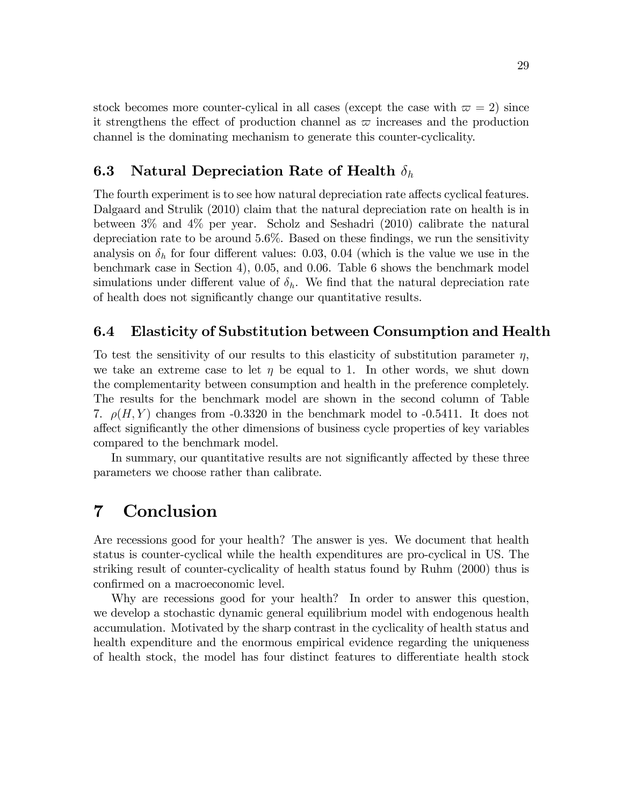stock becomes more counter-cylical in all cases (except the case with  $\varpi = 2$ ) since it strengthens the effect of production channel as  $\varpi$  increases and the production channel is the dominating mechanism to generate this counter-cyclicality.

#### 6.3 Natural Depreciation Rate of Health  $\delta_h$

The fourth experiment is to see how natural depreciation rate affects cyclical features. Dalgaard and Strulik (2010) claim that the natural depreciation rate on health is in between 3% and 4% per year. Scholz and Seshadri (2010) calibrate the natural depreciation rate to be around  $5.6\%$ . Based on these findings, we run the sensitivity analysis on  $\delta_h$  for four different values: 0.03, 0.04 (which is the value we use in the benchmark case in Section 4), 0.05, and 0.06. Table 6 shows the benchmark model simulations under different value of  $\delta_h$ . We find that the natural depreciation rate of health does not significantly change our quantitative results.

#### 6.4 Elasticity of Substitution between Consumption and Health

To test the sensitivity of our results to this elasticity of substitution parameter  $\eta$ , we take an extreme case to let  $\eta$  be equal to 1. In other words, we shut down the complementarity between consumption and health in the preference completely. The results for the benchmark model are shown in the second column of Table 7.  $\rho(H, Y)$  changes from -0.3320 in the benchmark model to -0.5411. It does not affect significantly the other dimensions of business cycle properties of key variables compared to the benchmark model.

In summary, our quantitative results are not significantly affected by these three parameters we choose rather than calibrate.

## 7 Conclusion

Are recessions good for your health? The answer is yes. We document that health status is counter-cyclical while the health expenditures are pro-cyclical in US. The striking result of counter-cyclicality of health status found by Ruhm (2000) thus is confirmed on a macroeconomic level.

Why are recessions good for your health? In order to answer this question, we develop a stochastic dynamic general equilibrium model with endogenous health accumulation. Motivated by the sharp contrast in the cyclicality of health status and health expenditure and the enormous empirical evidence regarding the uniqueness of health stock, the model has four distinct features to differentiate health stock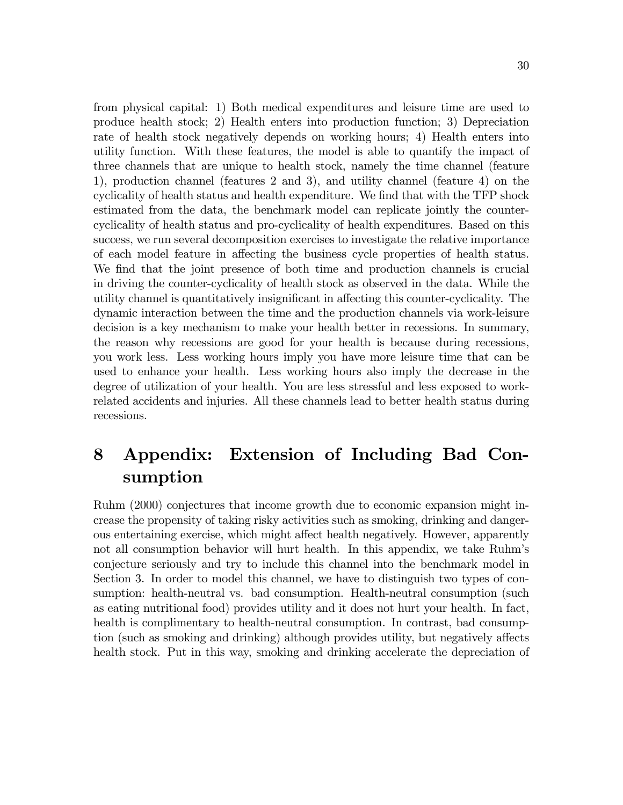from physical capital: 1) Both medical expenditures and leisure time are used to produce health stock; 2) Health enters into production function; 3) Depreciation rate of health stock negatively depends on working hours; 4) Health enters into utility function. With these features, the model is able to quantify the impact of three channels that are unique to health stock, namely the time channel (feature 1), production channel (features 2 and 3), and utility channel (feature 4) on the cyclicality of health status and health expenditure. We find that with the TFP shock estimated from the data, the benchmark model can replicate jointly the countercyclicality of health status and pro-cyclicality of health expenditures. Based on this success, we run several decomposition exercises to investigate the relative importance of each model feature in affecting the business cycle properties of health status. We find that the joint presence of both time and production channels is crucial in driving the counter-cyclicality of health stock as observed in the data. While the utility channel is quantitatively insignificant in affecting this counter-cyclicality. The dynamic interaction between the time and the production channels via work-leisure decision is a key mechanism to make your health better in recessions. In summary, the reason why recessions are good for your health is because during recessions, you work less. Less working hours imply you have more leisure time that can be used to enhance your health. Less working hours also imply the decrease in the degree of utilization of your health. You are less stressful and less exposed to workrelated accidents and injuries. All these channels lead to better health status during recessions.

## 8 Appendix: Extension of Including Bad Consumption

Ruhm (2000) conjectures that income growth due to economic expansion might increase the propensity of taking risky activities such as smoking, drinking and dangerous entertaining exercise, which might affect health negatively. However, apparently not all consumption behavior will hurt health. In this appendix, we take Ruhm's conjecture seriously and try to include this channel into the benchmark model in Section 3. In order to model this channel, we have to distinguish two types of consumption: health-neutral vs. bad consumption. Health-neutral consumption (such as eating nutritional food) provides utility and it does not hurt your health. In fact, health is complimentary to health-neutral consumption. In contrast, bad consumption (such as smoking and drinking) although provides utility, but negatively affects health stock. Put in this way, smoking and drinking accelerate the depreciation of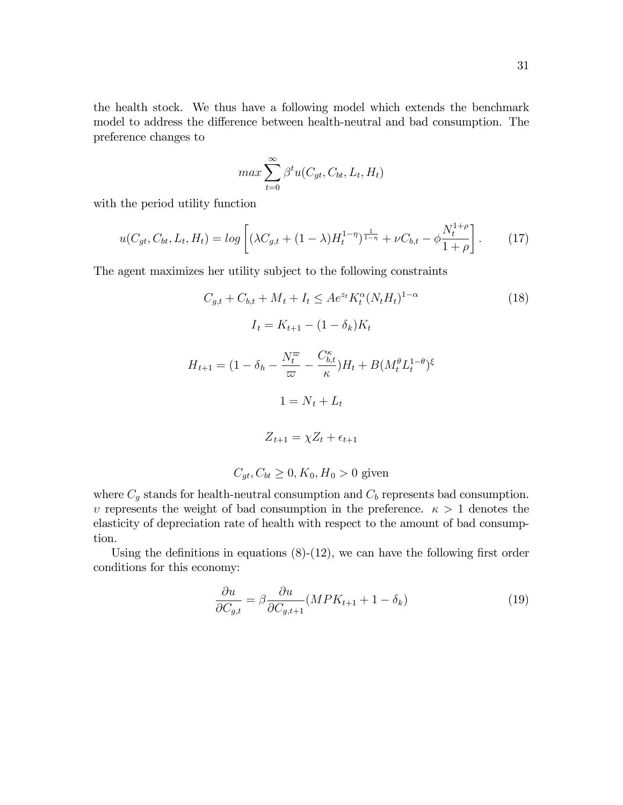the health stock. We thus have a following model which extends the benchmark model to address the difference between health-neutral and bad consumption. The preference changes to

$$
max \sum_{t=0}^{\infty} \beta^t u(C_{gt}, C_{bt}, L_t, H_t)
$$

with the period utility function

$$
u(C_{gt}, C_{bt}, L_t, H_t) = \log \left[ (\lambda C_{g,t} + (1 - \lambda) H_t^{1 - \eta})^{\frac{1}{1 - \eta}} + \nu C_{b,t} - \phi \frac{N_t^{1 + \rho}}{1 + \rho} \right].
$$
 (17)

The agent maximizes her utility subject to the following constraints

$$
C_{g,t} + C_{b,t} + M_t + I_t \le A e^{z_t} K_t^{\alpha} (N_t H_t)^{1-\alpha}
$$
\n
$$
I_t = K_{t+1} - (1 - \delta_k) K_t
$$
\n
$$
H_{t+1} = (1 - \delta_h - \frac{N_t^{\varpi}}{\varpi} - \frac{C_{b,t}^{\kappa}}{\kappa}) H_t + B(M_t^{\theta} L_t^{1-\theta})^{\xi}
$$
\n
$$
1 = N_t + L_t
$$
\n
$$
Z_{t+1} = \chi Z_t + \epsilon_{t+1}
$$
\n
$$
C_{gt}, C_{bt} \ge 0, K_0, H_0 > 0 \text{ given}
$$
\n(18)

where  $C_g$  stands for health-neutral consumption and  $C_b$  represents bad consumption. v represents the weight of bad consumption in the preference.  $\kappa > 1$  denotes the elasticity of depreciation rate of health with respect to the amount of bad consumption.

Using the definitions in equations  $(8)-(12)$ , we can have the following first order conditions for this economy:

$$
\frac{\partial u}{\partial C_{g,t}} = \beta \frac{\partial u}{\partial C_{g,t+1}} (MPK_{t+1} + 1 - \delta_k)
$$
\n(19)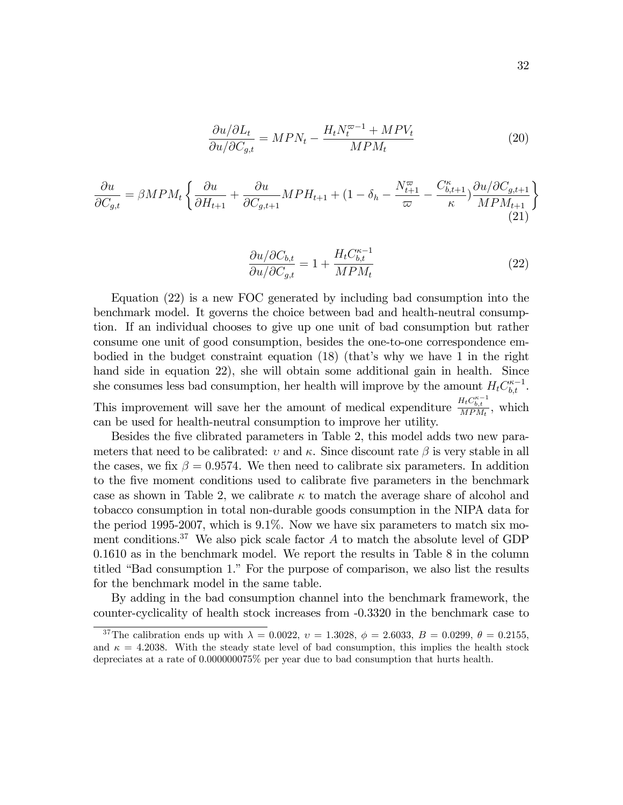$$
\frac{\partial u/\partial L_t}{\partial u/\partial C_{g,t}} = MPN_t - \frac{H_t N_t^{\varpi - 1} + MPV_t}{MPM_t}
$$
\n(20)

$$
\frac{\partial u}{\partial C_{g,t}} = \beta MPM_t \left\{ \frac{\partial u}{\partial H_{t+1}} + \frac{\partial u}{\partial C_{g,t+1}} MPH_{t+1} + (1 - \delta_h - \frac{N_{t+1}^{\varpi}}{\varpi} - \frac{C_{b,t+1}^{\kappa}}{\kappa}) \frac{\partial u/\partial C_{g,t+1}}{MPM_{t+1}} \right\}
$$
(21)

$$
\frac{\partial u/\partial C_{b,t}}{\partial u/\partial C_{g,t}} = 1 + \frac{H_t C_{b,t}^{\kappa - 1}}{M P M_t}
$$
\n(22)

Equation (22) is a new FOC generated by including bad consumption into the benchmark model. It governs the choice between bad and health-neutral consumption. If an individual chooses to give up one unit of bad consumption but rather consume one unit of good consumption, besides the one-to-one correspondence embodied in the budget constraint equation  $(18)$  (that's why we have 1 in the right hand side in equation 22), she will obtain some additional gain in health. Since she consumes less bad consumption, her health will improve by the amount  $H_t C_{b,t}^{\kappa-1}$ . This improvement will save her the amount of medical expenditure  $\frac{H_t C_{b,t}^{\kappa-1}}{MPM_t}$ , which can be used for health-neutral consumption to improve her utility.

Besides the five clibrated parameters in Table 2, this model adds two new parameters that need to be calibrated: v and  $\kappa$ . Since discount rate  $\beta$  is very stable in all the cases, we fix  $\beta = 0.9574$ . We then need to calibrate six parameters. In addition to the Öve moment conditions used to calibrate Öve parameters in the benchmark case as shown in Table 2, we calibrate  $\kappa$  to match the average share of alcohol and tobacco consumption in total non-durable goods consumption in the NIPA data for the period 1995-2007, which is 9.1%. Now we have six parameters to match six moment conditions.<sup>37</sup> We also pick scale factor  $A$  to match the absolute level of GDP 0.1610 as in the benchmark model. We report the results in Table 8 in the column titled "Bad consumption 1." For the purpose of comparison, we also list the results for the benchmark model in the same table.

By adding in the bad consumption channel into the benchmark framework, the counter-cyclicality of health stock increases from -0.3320 in the benchmark case to

<sup>&</sup>lt;sup>37</sup>The calibration ends up with  $\lambda = 0.0022$ ,  $v = 1.3028$ ,  $\phi = 2.6033$ ,  $B = 0.0299$ ,  $\theta = 0.2155$ , and  $\kappa = 4.2038$ . With the steady state level of bad consumption, this implies the health stock depreciates at a rate of 0.000000075% per year due to bad consumption that hurts health.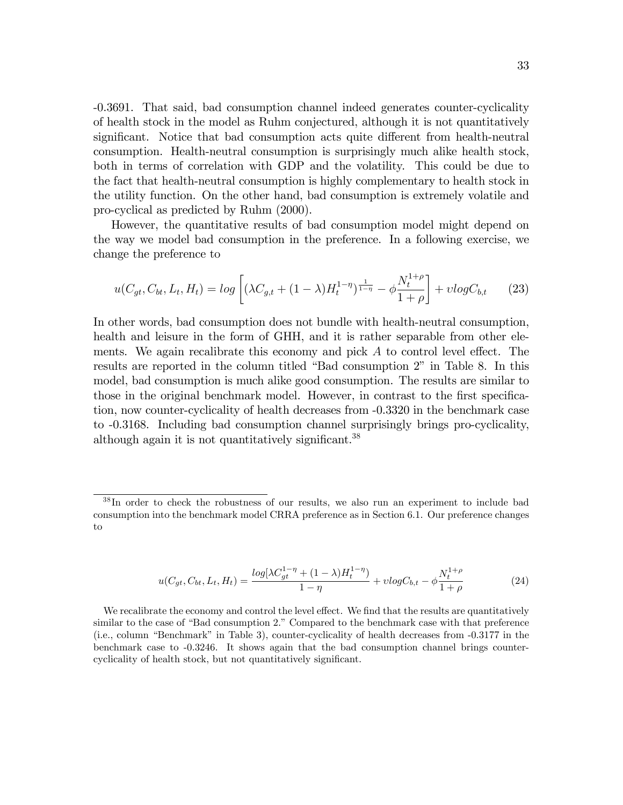-0.3691. That said, bad consumption channel indeed generates counter-cyclicality of health stock in the model as Ruhm conjectured, although it is not quantitatively significant. Notice that bad consumption acts quite different from health-neutral consumption. Health-neutral consumption is surprisingly much alike health stock, both in terms of correlation with GDP and the volatility. This could be due to the fact that health-neutral consumption is highly complementary to health stock in the utility function. On the other hand, bad consumption is extremely volatile and pro-cyclical as predicted by Ruhm (2000).

However, the quantitative results of bad consumption model might depend on the way we model bad consumption in the preference. In a following exercise, we change the preference to

$$
u(C_{gt}, C_{bt}, L_t, H_t) = \log \left[ (\lambda C_{g,t} + (1 - \lambda) H_t^{1 - \eta})^{\frac{1}{1 - \eta}} - \phi \frac{N_t^{1 + \rho}}{1 + \rho} \right] + v \log C_{b,t} \tag{23}
$$

In other words, bad consumption does not bundle with health-neutral consumption, health and leisure in the form of GHH, and it is rather separable from other elements. We again recalibrate this economy and pick  $A$  to control level effect. The results are reported in the column titled "Bad consumption 2" in Table 8. In this model, bad consumption is much alike good consumption. The results are similar to those in the original benchmark model. However, in contrast to the first specification, now counter-cyclicality of health decreases from -0.3320 in the benchmark case to -0.3168. Including bad consumption channel surprisingly brings pro-cyclicality, although again it is not quantitatively significant.<sup>38</sup>

$$
u(C_{gt}, C_{bt}, L_t, H_t) = \frac{\log[\lambda C_{gt}^{1-\eta} + (1-\lambda)H_t^{1-\eta}]}{1-\eta} + v\log C_{b,t} - \phi \frac{N_t^{1+\rho}}{1+\rho}
$$
(24)

We recalibrate the economy and control the level effect. We find that the results are quantitatively similar to the case of "Bad consumption 2." Compared to the benchmark case with that preference (i.e., column "Benchmark" in Table 3), counter-cyclicality of health decreases from  $-0.3177$  in the benchmark case to -0.3246. It shows again that the bad consumption channel brings countercyclicality of health stock, but not quantitatively significant.

<sup>38</sup> In order to check the robustness of our results, we also run an experiment to include bad consumption into the benchmark model CRRA preference as in Section 6.1. Our preference changes to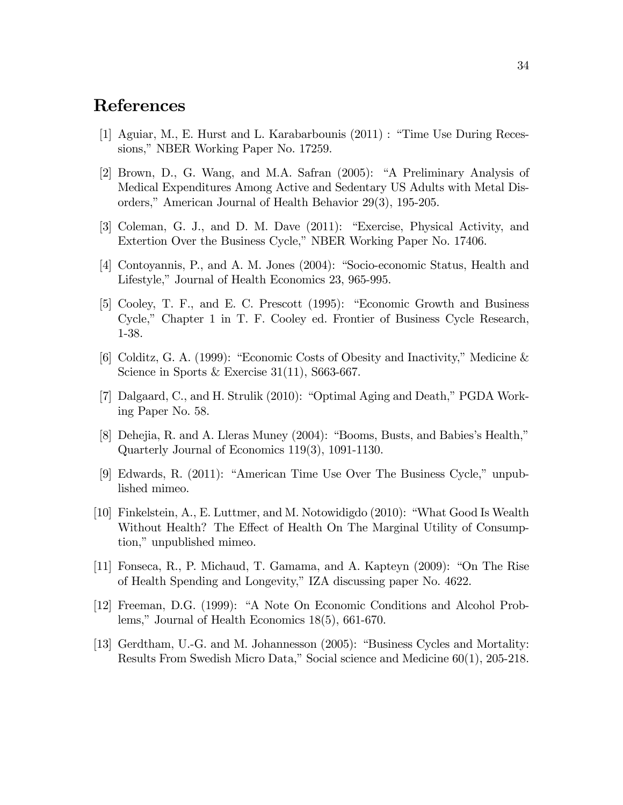## References

- [1] Aguiar, M., E. Hurst and L. Karabarbounis  $(2011)$  : "Time Use During Recessions," NBER Working Paper No. 17259.
- [2] Brown, D., G. Wang, and M.A. Safran (2005): "A Preliminary Analysis of Medical Expenditures Among Active and Sedentary US Adults with Metal Disorders," American Journal of Health Behavior 29(3), 195-205.
- [3] Coleman, G. J., and D. M. Dave (2011): "Exercise, Physical Activity, and Extertion Over the Business Cycle," NBER Working Paper No. 17406.
- [4] Contoyannis, P., and A. M. Jones (2004): "Socio-economic Status, Health and Lifestyle," Journal of Health Economics 23, 965-995.
- [5] Cooley, T. F., and E. C. Prescott (1995): "Economic Growth and Business Cycle," Chapter 1 in T. F. Cooley ed. Frontier of Business Cycle Research, 1-38.
- [6] Colditz, G. A. (1999): "Economic Costs of Obesity and Inactivity," Medicine  $&$ Science in Sports & Exercise  $31(11)$ , S663-667.
- [7] Dalgaard, C., and H. Strulik (2010): "Optimal Aging and Death," PGDA Working Paper No. 58.
- [8] Dehejia, R. and A. Lleras Muney (2004): "Booms, Busts, and Babies's Health," Quarterly Journal of Economics 119(3), 1091-1130.
- [9] Edwards, R.  $(2011)$ : "American Time Use Over The Business Cycle," unpublished mimeo.
- [10] Finkelstein, A., E. Luttmer, and M. Notowidigdo  $(2010)$ : "What Good Is Wealth Without Health? The Effect of Health On The Marginal Utility of Consumption," unpublished mimeo.
- [11] Fonseca, R., P. Michaud, T. Gamama, and A. Kapteyn  $(2009)$ : "On The Rise of Health Spending and Longevity,î IZA discussing paper No. 4622.
- [12] Freeman, D.G. (1999): "A Note On Economic Conditions and Alcohol Problems," Journal of Health Economics  $18(5)$ , 661-670.
- [13] Gerdtham, U.-G. and M. Johannesson  $(2005)$ : "Business Cycles and Mortality: Results From Swedish Micro Data," Social science and Medicine  $60(1)$ , 205-218.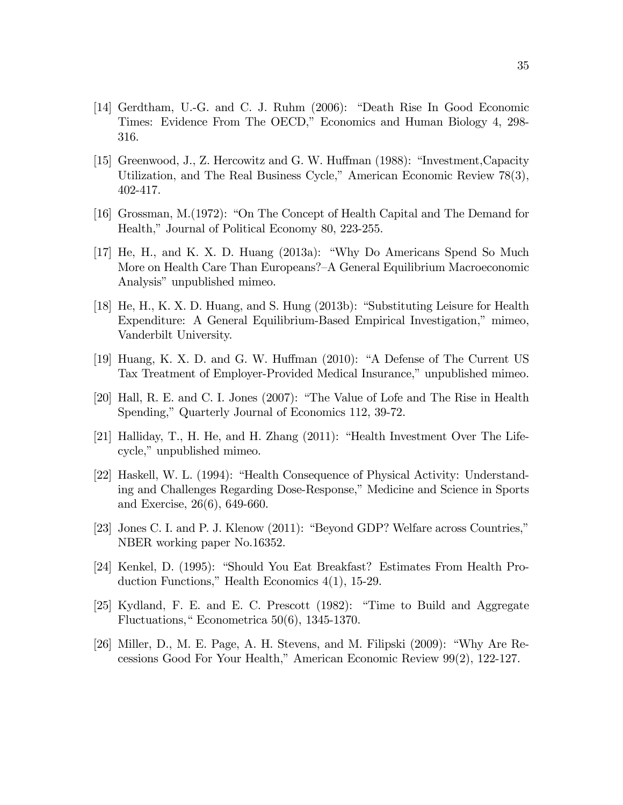- $[14]$  Gerdtham, U.-G. and C. J. Ruhm  $(2006)$ : "Death Rise In Good Economic Times: Evidence From The OECD," Economics and Human Biology 4, 298-316.
- [15] Greenwood, J., Z. Hercowitz and G. W. Huffman (1988): "Investment, Capacity Utilization, and The Real Business Cycle," American Economic Review  $78(3)$ , 402-417.
- [16] Grossman, M. $(1972)$ : "On The Concept of Health Capital and The Demand for Health," Journal of Political Economy 80, 223-255.
- $[17]$  He, H., and K. X. D. Huang  $(2013a)$ : "Why Do Americans Spend So Much More on Health Care Than Europeans?–A General Equilibrium Macroeconomic Analysis" unpublished mimeo.
- [18] He, H., K. X. D. Huang, and S. Hung  $(2013b)$ : "Substituting Leisure for Health Expenditure: A General Equilibrium-Based Empirical Investigation," mimeo, Vanderbilt University.
- [19] Huang, K. X. D. and G. W. Huffman  $(2010)$ : "A Defense of The Current US Tax Treatment of Employer-Provided Medical Insurance," unpublished mimeo.
- [20] Hall, R. E. and C. I. Jones (2007): "The Value of Lofe and The Rise in Health Spending," Quarterly Journal of Economics 112, 39-72.
- [21] Halliday, T., H. He, and H. Zhang  $(2011)$ : "Health Investment Over The Lifecycle," unpublished mimeo.
- [22] Haskell, W. L. (1994): "Health Consequence of Physical Activity: Understanding and Challenges Regarding Dose-Response," Medicine and Science in Sports and Exercise, 26(6), 649-660.
- $[23]$  Jones C. I. and P. J. Klenow  $(2011)$ : "Beyond GDP? Welfare across Countries," NBER working paper No.16352.
- [24] Kenkel, D. (1995): "Should You Eat Breakfast? Estimates From Health Production Functions," Health Economics  $4(1)$ , 15-29.
- [25] Kydland, F. E. and E. C. Prescott  $(1982)$ : "Time to Build and Aggregate Fluctuations," Econometrica  $50(6)$ , 1345-1370.
- [26] Miller, D., M. E. Page, A. H. Stevens, and M. Filipski  $(2009)$ : "Why Are Recessions Good For Your Health," American Economic Review  $99(2)$ , 122-127.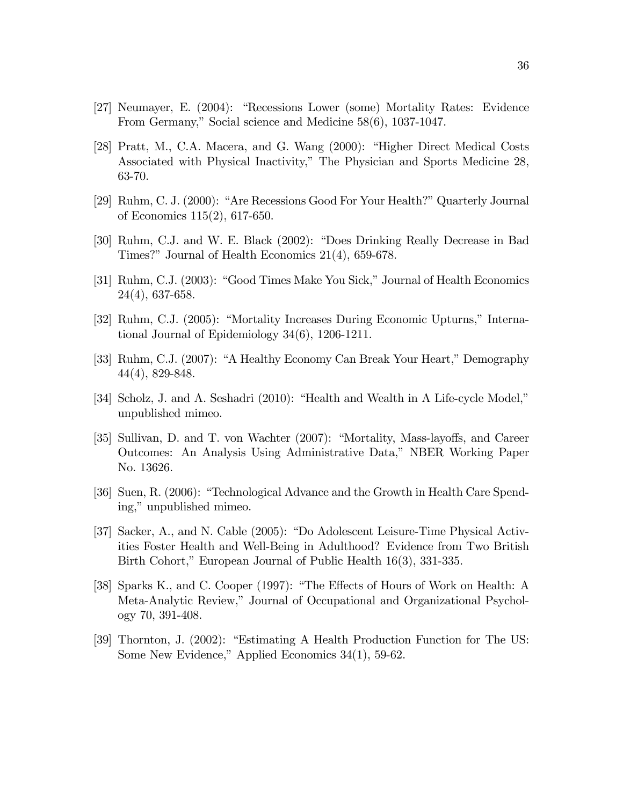- [27] Neumayer, E. (2004): "Recessions Lower (some) Mortality Rates: Evidence From Germany," Social science and Medicine  $58(6)$ , 1037-1047.
- [28] Pratt, M., C.A. Macera, and G. Wang  $(2000)$ : "Higher Direct Medical Costs Associated with Physical Inactivity," The Physician and Sports Medicine 28, 63-70.
- [29] Ruhm, C. J. (2000): "Are Recessions Good For Your Health?" Quarterly Journal of Economics 115(2), 617-650.
- [30] Ruhm, C.J. and W. E. Black (2002): "Does Drinking Really Decrease in Bad Times?" Journal of Health Economics  $21(4)$ , 659-678.
- [31] Ruhm, C.J. (2003): "Good Times Make You Sick," Journal of Health Economics 24(4), 637-658.
- [32] Ruhm, C.J. (2005): "Mortality Increases During Economic Upturns," International Journal of Epidemiology 34(6), 1206-1211.
- [33] Ruhm, C.J. (2007): "A Healthy Economy Can Break Your Heart," Demography 44(4), 829-848.
- [34] Scholz, J. and A. Seshadri (2010): "Health and Wealth in A Life-cycle Model," unpublished mimeo.
- [35] Sullivan, D. and T. von Wachter (2007): "Mortality, Mass-layoffs, and Career Outcomes: An Analysis Using Administrative Data,î NBER Working Paper No. 13626.
- [36] Suen, R. (2006): "Technological Advance and the Growth in Health Care Spending," unpublished mimeo.
- [37] Sacker, A., and N. Cable (2005): "Do Adolescent Leisure-Time Physical Activities Foster Health and Well-Being in Adulthood? Evidence from Two British Birth Cohort," European Journal of Public Health  $16(3)$ , 331-335.
- [38] Sparks K., and C. Cooper (1997): "The Effects of Hours of Work on Health: A Meta-Analytic Review," Journal of Occupational and Organizational Psychology 70, 391-408.
- [39] Thornton, J. (2002): "Estimating A Health Production Function for The US: Some New Evidence," Applied Economics  $34(1)$ , 59-62.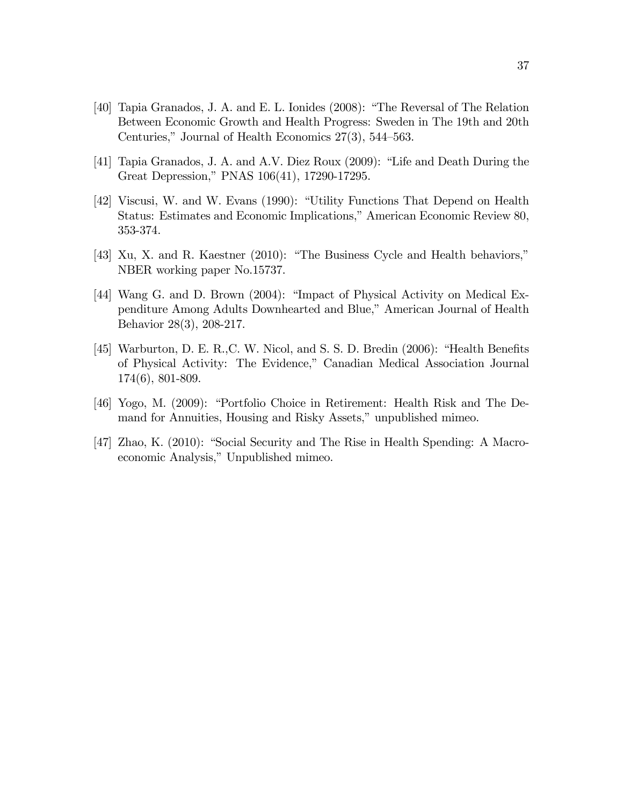- [40] Tapia Granados, J. A. and E. L. Ionides (2008): "The Reversal of The Relation Between Economic Growth and Health Progress: Sweden in The 19th and 20th Centuries," Journal of Health Economics  $27(3)$ , 544–563.
- [41] Tapia Granados, J. A. and A.V. Diez Roux (2009): "Life and Death During the Great Depression," PNAS 106(41), 17290-17295.
- [42] Viscusi, W. and W. Evans (1990): "Utility Functions That Depend on Health Status: Estimates and Economic Implications," American Economic Review 80, 353-374.
- $[43]$  Xu, X. and R. Kaestner (2010): "The Business Cycle and Health behaviors," NBER working paper No.15737.
- [44] Wang G. and D. Brown (2004): "Impact of Physical Activity on Medical Expenditure Among Adults Downhearted and Blue," American Journal of Health Behavior 28(3), 208-217.
- [45] Warburton, D. E. R., C. W. Nicol, and S. S. D. Bredin  $(2006)$ : "Health Benefits of Physical Activity: The Evidence," Canadian Medical Association Journal 174(6), 801-809.
- [46] Yogo, M. (2009): "Portfolio Choice in Retirement: Health Risk and The Demand for Annuities, Housing and Risky Assets," unpublished mimeo.
- $[47]$  Zhao, K. (2010): "Social Security and The Rise in Health Spending: A Macroeconomic Analysis," Unpublished mimeo.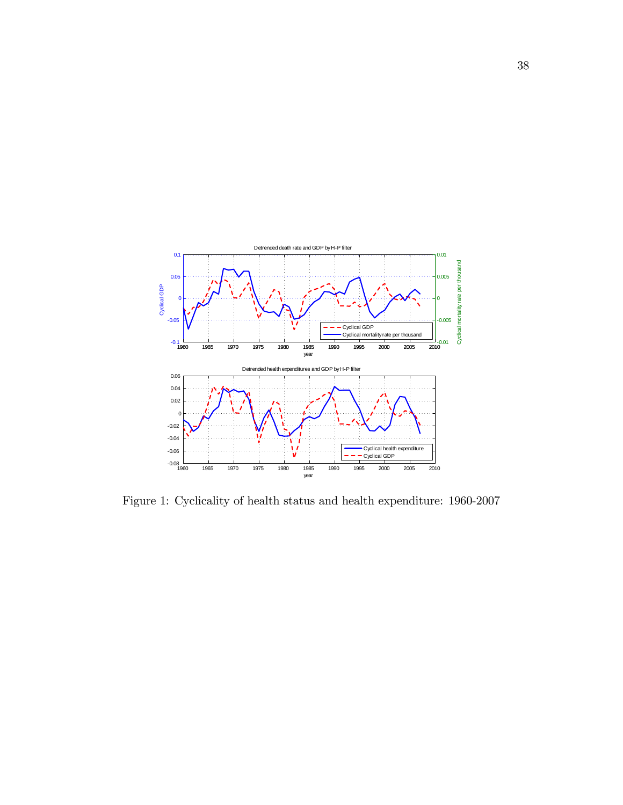

Figure 1: Cyclicality of health status and health expenditure: 1960-2007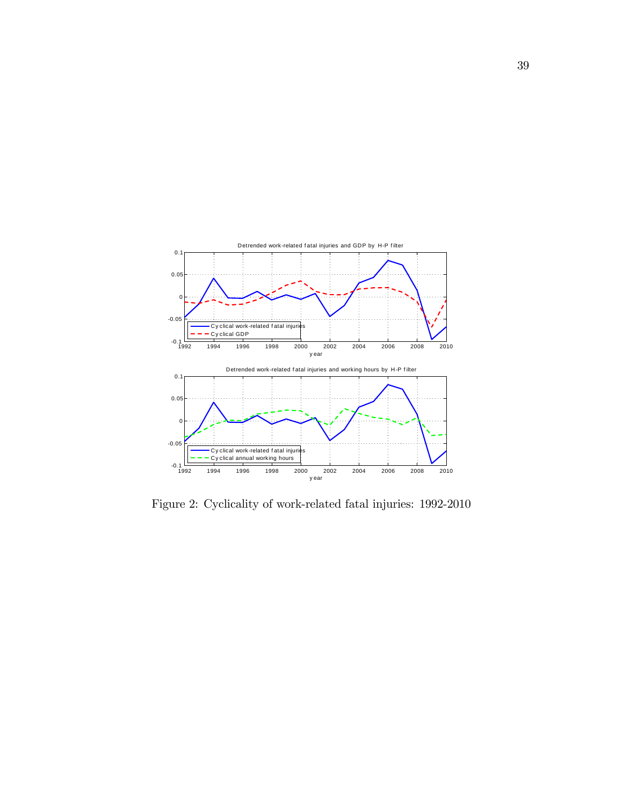

Figure 2: Cyclicality of work-related fatal injuries: 1992-2010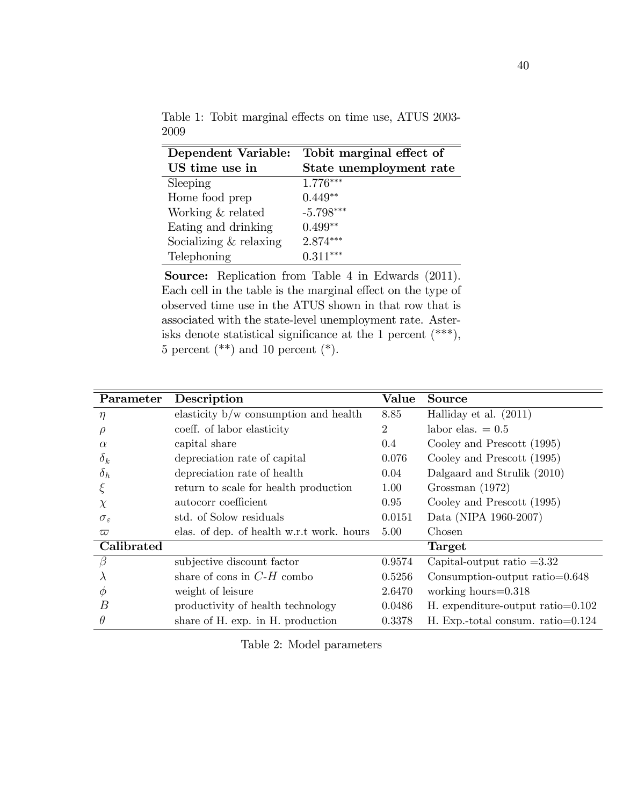| Dependent Variable:      | Tobit marginal effect of |
|--------------------------|--------------------------|
| US time use in           | State unemployment rate  |
| Sleeping                 | $1.776***$               |
| Home food prep           | $0.449**$                |
| Working & related        | $-5.798***$              |
| Eating and drinking      | $0.499**$                |
| Socializing $&$ relaxing | $2.874***$               |
| Telephoning              | $0.311***$               |

Table 1: Tobit marginal effects on time use, ATUS 2003-2009

Source: Replication from Table 4 in Edwards (2011). Each cell in the table is the marginal effect on the type of observed time use in the ATUS shown in that row that is associated with the state-level unemployment rate. Asterisks denote statistical significance at the 1 percent  $(***),$ 5 percent  $(**)$  and 10 percent  $(*).$ 

| Parameter              | Description                               | Value          | <b>Source</b>                        |
|------------------------|-------------------------------------------|----------------|--------------------------------------|
| $\eta$                 | elasticity $b/w$ consumption and health   | 8.85           | Halliday et al. $(2011)$             |
| ρ                      | coeff. of labor elasticity                | $\overline{2}$ | labor elas. $= 0.5$                  |
| $\alpha$               | capital share                             | $0.4\,$        | Cooley and Prescott (1995)           |
| $\delta_k$             | depreciation rate of capital              | 0.076          | Cooley and Prescott (1995)           |
| $\delta_h$             | depreciation rate of health               | 0.04           | Dalgaard and Strulik (2010)          |
|                        | return to scale for health production     | 1.00           | Grossman $(1972)$                    |
| $\chi$                 | autocorr coefficient                      | 0.95           | Cooley and Prescott (1995)           |
| $\sigma_{\varepsilon}$ | std. of Solow residuals                   | 0.0151         | Data (NIPA 1960-2007)                |
| $\varpi$               | elas. of dep. of health w.r.t work. hours | 5.00           | Chosen                               |
| Calibrated             |                                           |                | Target                               |
| $\beta$                | subjective discount factor                | 0.9574         | Capital-output ratio $=3.32$         |
| л                      | share of cons in $C-H$ combo              | 0.5256         | Consumption-output ratio=0.648       |
| $\varphi$              | weight of leisure                         | 2.6470         | working hours= $0.318$               |
| В                      | productivity of health technology         | 0.0486         | H. expenditure-output ratio= $0.102$ |
| $\theta$               | share of H. exp. in H. production         | 0.3378         | H. Exp.-total consum. ratio=0.124    |

Table 2: Model parameters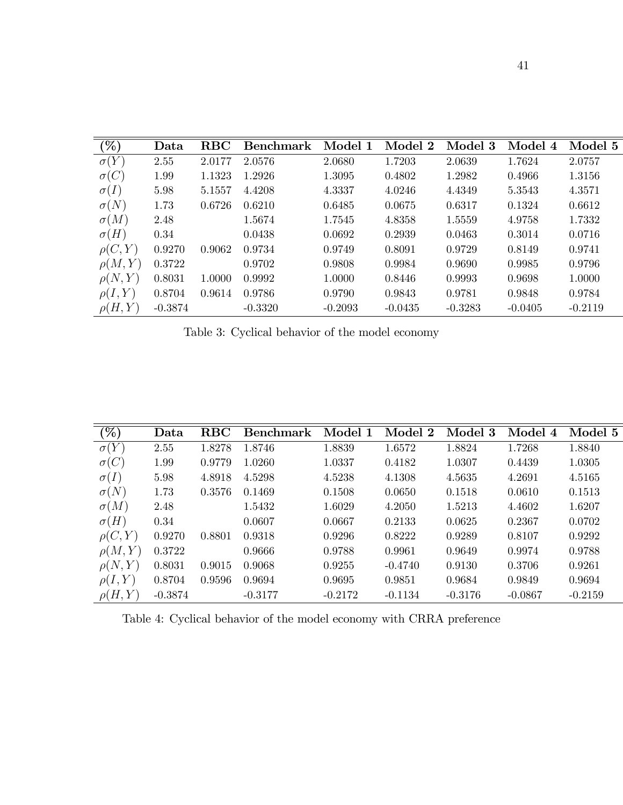| $\%$         | Data      | $_{\rm RBC}$ | Benchmark | Model 1   | Model 2   | Model 3   | Model 4   | Model 5   |
|--------------|-----------|--------------|-----------|-----------|-----------|-----------|-----------|-----------|
| $\sigma(Y)$  | 2.55      | 2.0177       | 2.0576    | 2.0680    | 1.7203    | 2.0639    | 1.7624    | 2.0757    |
| $\sigma(C)$  | 1.99      | 1.1323       | 1.2926    | 1.3095    | 0.4802    | 1.2982    | 0.4966    | 1.3156    |
| $\sigma(I)$  | 5.98      | 5.1557       | 4.4208    | 4.3337    | 4.0246    | 4.4349    | 5.3543    | 4.3571    |
| $\sigma(N)$  | 1.73      | 0.6726       | 0.6210    | 0.6485    | 0.0675    | 0.6317    | 0.1324    | 0.6612    |
| $\sigma(M)$  | 2.48      |              | 1.5674    | 1.7545    | 4.8358    | 1.5559    | 4.9758    | 1.7332    |
| $\sigma(H)$  | 0.34      |              | 0.0438    | 0.0692    | 0.2939    | 0.0463    | 0.3014    | 0.0716    |
| $\rho(C, Y)$ | 0.9270    | 0.9062       | 0.9734    | 0.9749    | 0.8091    | 0.9729    | 0.8149    | 0.9741    |
| $\rho(M,Y)$  | 0.3722    |              | 0.9702    | 0.9808    | 0.9984    | 0.9690    | 0.9985    | 0.9796    |
| $\rho(N,Y)$  | 0.8031    | 1.0000       | 0.9992    | 1.0000    | 0.8446    | 0.9993    | 0.9698    | 1.0000    |
| $\rho(I,Y)$  | 0.8704    | 0.9614       | 0.9786    | 0.9790    | 0.9843    | 0.9781    | 0.9848    | 0.9784    |
| $\rho(H,Y)$  | $-0.3874$ |              | $-0.3320$ | $-0.2093$ | $-0.0435$ | $-0.3283$ | $-0.0405$ | $-0.2119$ |

Table 3: Cyclical behavior of the model economy

| $\sqrt[6]{\delta}$ | Data      | $_{\rm RBC}$ | <b>Benchmark</b> | Model 1   | Model 2   | Model 3   | Model 4   | Model 5   |
|--------------------|-----------|--------------|------------------|-----------|-----------|-----------|-----------|-----------|
| $\sigma(Y)$        | 2.55      | 1.8278       | 1.8746           | 1.8839    | 1.6572    | 1.8824    | 1.7268    | 1.8840    |
| $\sigma(C)$        | 1.99      | 0.9779       | 1.0260           | 1.0337    | 0.4182    | 1.0307    | 0.4439    | 1.0305    |
| $\sigma(I)$        | 5.98      | 4.8918       | 4.5298           | 4.5238    | 4.1308    | 4.5635    | 4.2691    | 4.5165    |
| $\sigma(N)$        | 1.73      | 0.3576       | 0.1469           | 0.1508    | 0.0650    | 0.1518    | 0.0610    | 0.1513    |
| $\sigma(M)$        | 2.48      |              | 1.5432           | 1.6029    | 4.2050    | 1.5213    | 4.4602    | 1.6207    |
| $\sigma(H)$        | 0.34      |              | 0.0607           | 0.0667    | 0.2133    | 0.0625    | 0.2367    | 0.0702    |
| $\rho(C, Y)$       | 0.9270    | 0.8801       | 0.9318           | 0.9296    | 0.8222    | 0.9289    | 0.8107    | 0.9292    |
| $\rho(M,Y)$        | 0.3722    |              | 0.9666           | 0.9788    | 0.9961    | 0.9649    | 0.9974    | 0.9788    |
| $\rho(N,Y)$        | 0.8031    | 0.9015       | 0.9068           | 0.9255    | $-0.4740$ | 0.9130    | 0.3706    | 0.9261    |
| $\rho(I, Y)$       | 0.8704    | 0.9596       | 0.9694           | 0.9695    | 0.9851    | 0.9684    | 0.9849    | 0.9694    |
| $\rho(H,Y)$        | $-0.3874$ |              | $-0.3177$        | $-0.2172$ | $-0.1134$ | $-0.3176$ | $-0.0867$ | $-0.2159$ |

Table 4: Cyclical behavior of the model economy with CRRA preference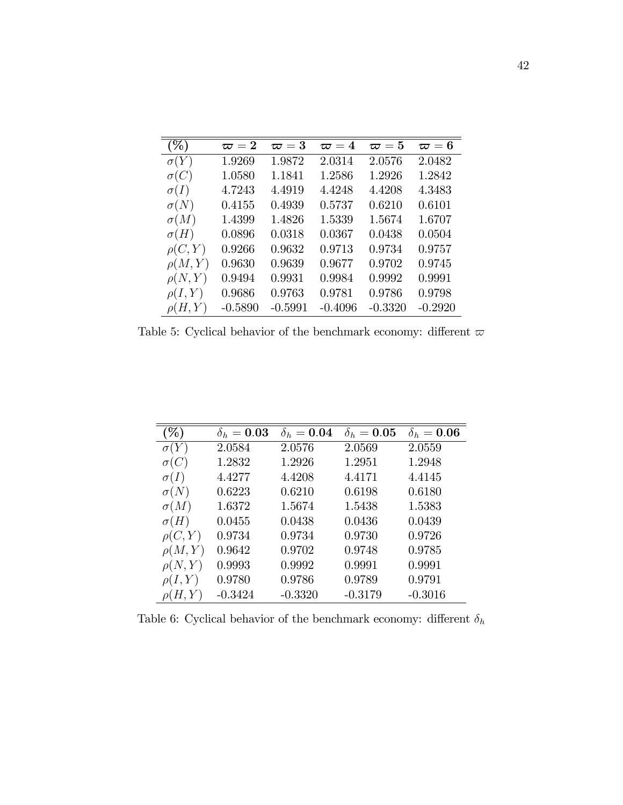| (% )         | $\varpi=2$ | $\varpi=3$ | $\varpi=4$ | $\varpi=5$ | $\varpi=6$ |
|--------------|------------|------------|------------|------------|------------|
| $\sigma(Y)$  | 1.9269     | 1.9872     | 2.0314     | 2.0576     | 2.0482     |
| $\sigma(C)$  | 1.0580     | 1.1841     | 1.2586     | 1.2926     | 1.2842     |
| $\sigma(I)$  | 4.7243     | 4.4919     | 4.4248     | 4.4208     | 4.3483     |
| $\sigma(N)$  | 0.4155     | 0.4939     | 0.5737     | 0.6210     | 0.6101     |
| $\sigma(M)$  | 1.4399     | 1.4826     | 1.5339     | 1.5674     | 1.6707     |
| $\sigma(H)$  | 0.0896     | 0.0318     | 0.0367     | 0.0438     | 0.0504     |
| $\rho(C, Y)$ | 0.9266     | 0.9632     | 0.9713     | 0.9734     | 0.9757     |
| $\rho(M,Y)$  | 0.9630     | 0.9639     | 0.9677     | 0.9702     | 0.9745     |
| $\rho(N,Y)$  | 0.9494     | 0.9931     | 0.9984     | 0.9992     | 0.9991     |
| $\rho(I, Y)$ | 0.9686     | 0.9763     | 0.9781     | 0.9786     | 0.9798     |
| $\rho(H,Y)$  | $-0.5890$  | $-0.5991$  | $-0.4096$  | $-0.3320$  | $-0.2920$  |

Table 5: Cyclical behavior of the benchmark economy: different  $\varpi$ 

| %            | $\delta_h = 0.03$ | $\delta_h = 0.04$ | $\delta_h = 0.05$ | $\delta_h=0.06$ |
|--------------|-------------------|-------------------|-------------------|-----------------|
| $\sigma(Y)$  | 2.0584            | 2.0576            | 2.0569            | 2.0559          |
| $\sigma(C)$  | 1.2832            | 1.2926            | 1.2951            | 1.2948          |
| $\sigma(I)$  | 4.4277            | 4.4208            | 4.4171            | 4.4145          |
| $\sigma(N)$  | 0.6223            | 0.6210            | 0.6198            | 0.6180          |
| $\sigma(M)$  | 1.6372            | 1.5674            | 1.5438            | 1.5383          |
| $\sigma(H)$  | 0.0455            | 0.0438            | 0.0436            | 0.0439          |
| $\rho(C, Y)$ | 0.9734            | 0.9734            | 0.9730            | 0.9726          |
| $\rho(M,Y)$  | 0.9642            | 0.9702            | 0.9748            | 0.9785          |
| $\rho(N,Y)$  | 0.9993            | 0.9992            | 0.9991            | 0.9991          |
| $\rho(I,Y)$  | 0.9780            | 0.9786            | 0.9789            | 0.9791          |
| $\rho(H,Y)$  | $-0.3424$         | $-0.3320$         | $-0.3179$         | $-0.3016$       |

Table 6: Cyclical behavior of the benchmark economy: different  $\delta_h$